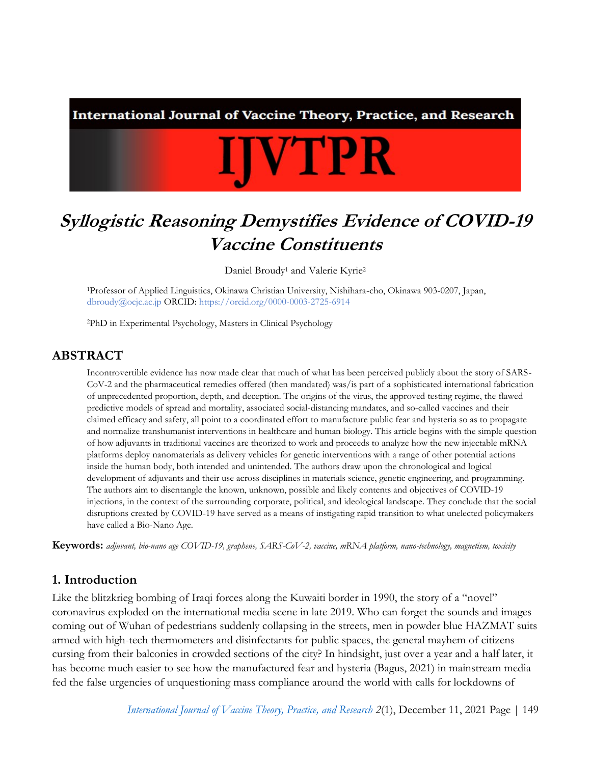International Journal of Vaccine Theory, Practice, and Research

# **IJVTPR**

# **Syllogistic Reasoning Demystifies Evidence of COVID-19 Vaccine Constituents**

Daniel Broudy<sup>1</sup> and Valerie Kyrie<sup>2</sup>

<sup>1</sup>Professor of Applied Linguistics, Okinawa Christian University, Nishihara-cho, Okinawa 903-0207, Japan, [dbroudy@ocjc.ac.jp](mailto:dbroudy@ocjc.ac.jp) ORCID:<https://orcid.org/0000-0003-2725-6914>

<sup>2</sup>PhD in Experimental Psychology, Masters in Clinical Psychology

#### **ABSTRACT**

Incontrovertible evidence has now made clear that much of what has been perceived publicly about the story of SARS-CoV-2 and the pharmaceutical remedies offered (then mandated) was/is part of a sophisticated international fabrication of unprecedented proportion, depth, and deception. The origins of the virus, the approved testing regime, the flawed predictive models of spread and mortality, associated social-distancing mandates, and so-called vaccines and their claimed efficacy and safety, all point to a coordinated effort to manufacture public fear and hysteria so as to propagate and normalize transhumanist interventions in healthcare and human biology. This article begins with the simple question of how adjuvants in traditional vaccines are theorized to work and proceeds to analyze how the new injectable mRNA platforms deploy nanomaterials as delivery vehicles for genetic interventions with a range of other potential actions inside the human body, both intended and unintended. The authors draw upon the chronological and logical development of adjuvants and their use across disciplines in materials science, genetic engineering, and programming. The authors aim to disentangle the known, unknown, possible and likely contents and objectives of COVID-19 injections, in the context of the surrounding corporate, political, and ideological landscape. They conclude that the social disruptions created by COVID-19 have served as a means of instigating rapid transition to what unelected policymakers have called a Bio-Nano Age.

**Keywords:** *adjuvant, bio-nano age COVID-19, graphene, SARS-CoV-2, vaccine, mRNA platform, nano-technology, magnetism, toxicity*

#### **1. Introduction**

Like the blitzkrieg bombing of Iraqi forces along the Kuwaiti border in 1990, the story of a "novel" coronavirus exploded on the international media scene in late 2019. Who can forget the sounds and images coming out of Wuhan of pedestrians suddenly collapsing in the streets, men in powder blue HAZMAT suits armed with high-tech thermometers and disinfectants for public spaces, the general mayhem of citizens cursing from their balconies in crowded sections of the city? In hindsight, just over a year and a half later, it has become much easier to see how the manufactured fear and hysteria (Bagus, 2021) in mainstream media fed the false urgencies of unquestioning mass compliance around the world with calls for lockdowns of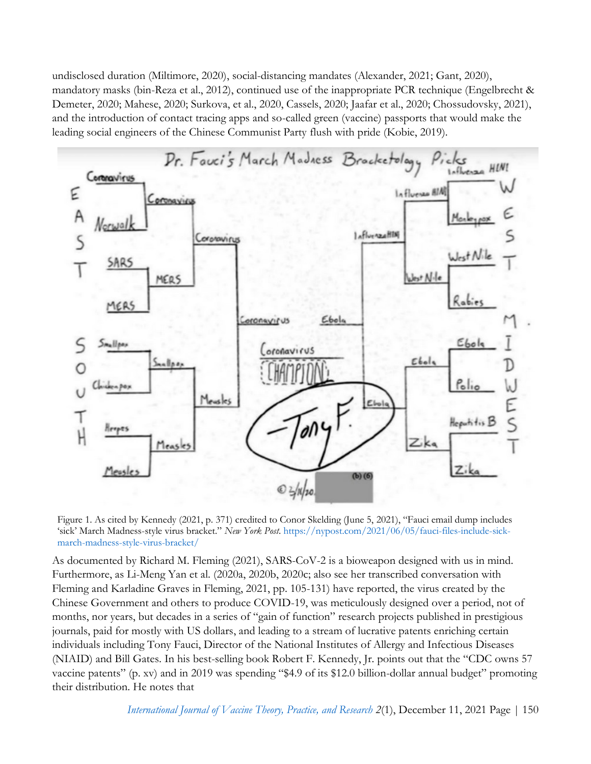undisclosed duration (Miltimore, 2020), social-distancing mandates (Alexander, 2021; Gant, 2020), mandatory masks (bin-Reza et al., 2012), continued use of the inappropriate PCR technique (Engelbrecht & Demeter, 2020; Mahese, 2020; Surkova, et al., 2020, Cassels, 2020; Jaafar et al., 2020; Chossudovsky, 2021), and the introduction of contact tracing apps and so-called green (vaccine) passports that would make the leading social engineers of the Chinese Communist Party flush with pride (Kobie, 2019).



<span id="page-1-0"></span>Figure 1. As cited by Kennedy (2021, p. 371) credited to Conor Skelding (June 5, 2021), "Fauci email dump includes 'sick' March Madness-style virus bracket." *New York Post*[. https://nypost.com/2021/06/05/fauci-files-include-sick](https://nypost.com/2021/06/05/fauci-files-include-sick-march-madness-style-virus-bracket/)[march-madness-style-virus-bracket/](https://nypost.com/2021/06/05/fauci-files-include-sick-march-madness-style-virus-bracket/)

As documented by Richard M. Fleming (2021), SARS-CoV-2 is a bioweapon designed with us in mind. Furthermore, as Li-Meng Yan et al. (2020a, 2020b, 2020c; also see her transcribed conversation with Fleming and Karladine Graves in Fleming, 2021, pp. 105-131) have reported, the virus created by the Chinese Government and others to produce COVID-19, was meticulously designed over a period, not of months, nor years, but decades in a series of "gain of function" research projects published in prestigious journals, paid for mostly with US dollars, and leading to a stream of lucrative patents enriching certain individuals including Tony Fauci, Director of the National Institutes of Allergy and Infectious Diseases (NIAID) and Bill Gates. In his best-selling book Robert F. Kennedy, Jr. points out that the "CDC owns 57 vaccine patents" (p. xv) and in 2019 was spending "\$4.9 of its \$12.0 billion-dollar annual budget" promoting their distribution. He notes that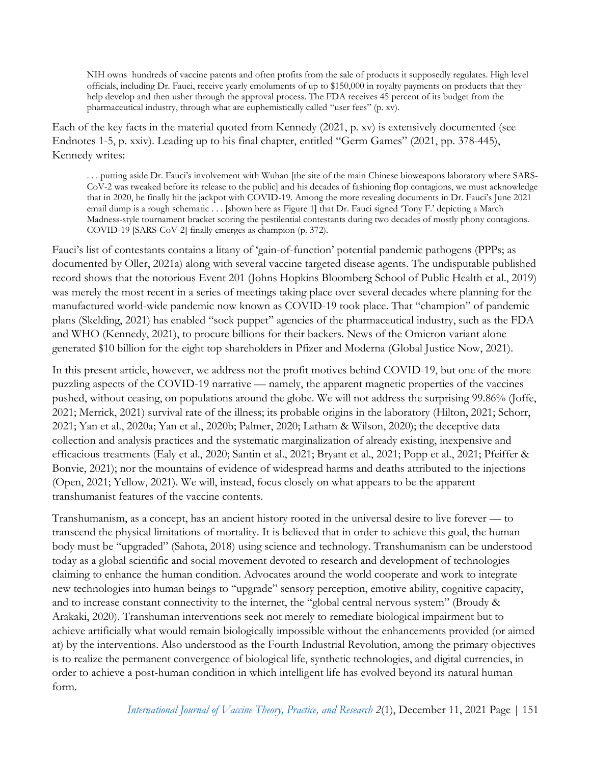NIH owns hundreds of vaccine patents and often profits from the sale of products it supposedly regulates. High level officials, including Dr. Fauci, receive yearly emoluments of up to \$150,000 in royalty payments on products that they help develop and then usher through the approval process. The FDA receives 45 percent of its budget from the pharmaceutical industry, through what are euphemistically called "user fees" (p. xv).

Each of the key facts in the material quoted from Kennedy (2021, p. xv) is extensively documented (see Endnotes 1-5, p. xxiv). Leading up to his final chapter, entitled "Germ Games" (2021, pp. 378-445), Kennedy writes:

. . . putting aside Dr. Fauci's involvement with Wuhan [the site of the main Chinese bioweapons laboratory where SARS-CoV-2 was tweaked before its release to the public] and his decades of fashioning flop contagions, we must acknowledge that in 2020, he finally hit the jackpot with COVID-19. Among the more revealing documents in Dr. Fauci's June 2021 email dump is a rough schematic . . . [shown here a[s Figure 1\]](#page-1-0) that Dr. Fauci signed 'Tony F.' depicting a March Madness-style tournament bracket scoring the pestilential contestants during two decades of mostly phony contagions. COVID-19 [SARS-CoV-2] finally emerges as champion (p. 372).

Fauci's list of contestants contains a litany of 'gain-of-function' potential pandemic pathogens (PPPs; as documented by Oller, 2021a) along with several vaccine targeted disease agents. The undisputable published record shows that the notorious Event 201 (Johns Hopkins Bloomberg School of Public Health et al., 2019) was merely the most recent in a series of meetings taking place over several decades where planning for the manufactured world-wide pandemic now known as COVID-19 took place. That "champion" of pandemic plans (Skelding, 2021) has enabled "sock puppet" agencies of the pharmaceutical industry, such as the FDA and WHO (Kennedy, 2021), to procure billions for their backers. News of the Omicron variant alone generated \$10 billion for the eight top shareholders in Pfizer and Moderna (Global Justice Now, 2021).

In this present article, however, we address not the profit motives behind COVID-19, but one of the more puzzling aspects of the COVID-19 narrative — namely, the apparent magnetic properties of the vaccines pushed, without ceasing, on populations around the globe. We will not address the surprising 99.86% (Joffe, 2021; Merrick, 2021) survival rate of the illness; its probable origins in the laboratory (Hilton, 2021; Schorr, 2021; Yan et al., 2020a; Yan et al., 2020b; Palmer, 2020; Latham & Wilson, 2020); the deceptive data collection and analysis practices and the systematic marginalization of already existing, inexpensive and efficacious treatments (Ealy et al., 2020; Santin et al., 2021; Bryant et al., 2021; Popp et al., 2021; Pfeiffer & Bonvie, 2021); nor the mountains of evidence of widespread harms and deaths attributed to the injections (Open, 2021; Yellow, 2021). We will, instead, focus closely on what appears to be the apparent transhumanist features of the vaccine contents.

Transhumanism, as a concept, has an ancient history rooted in the universal desire to live forever — to transcend the physical limitations of mortality. It is believed that in order to achieve this goal, the human body must be "upgraded" (Sahota, 2018) using science and technology. Transhumanism can be understood today as a global scientific and social movement devoted to research and development of technologies claiming to enhance the human condition. Advocates around the world cooperate and work to integrate new technologies into human beings to "upgrade" sensory perception, emotive ability, cognitive capacity, and to increase constant connectivity to the internet, the "global central nervous system" (Broudy & Arakaki, 2020). Transhuman interventions seek not merely to remediate biological impairment but to achieve artificially what would remain biologically impossible without the enhancements provided (or aimed at) by the interventions. Also understood as the Fourth Industrial Revolution, among the primary objectives is to realize the permanent convergence of biological life, synthetic technologies, and digital currencies, in order to achieve a post-human condition in which intelligent life has evolved beyond its natural human form.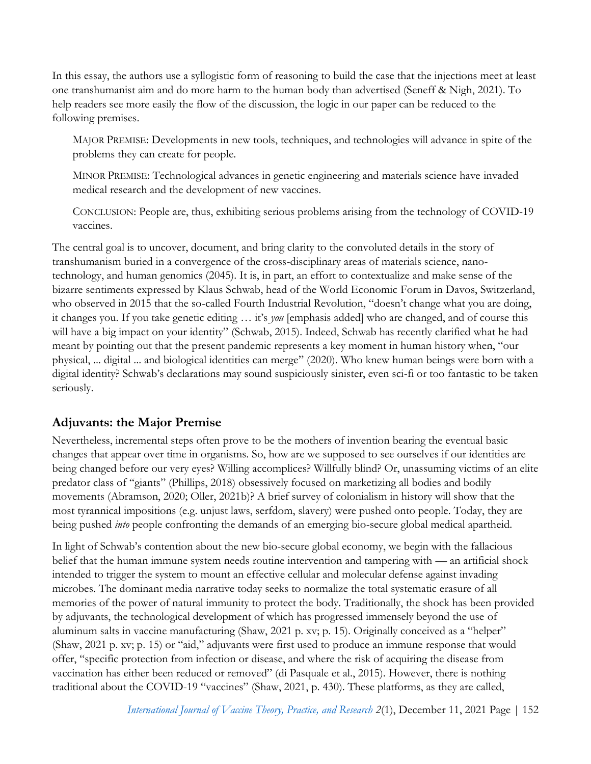In this essay, the authors use a syllogistic form of reasoning to build the case that the injections meet at least one transhumanist aim and do more harm to the human body than advertised (Seneff & Nigh, 2021). To help readers see more easily the flow of the discussion, the logic in our paper can be reduced to the following premises.

MAJOR PREMISE: Developments in new tools, techniques, and technologies will advance in spite of the problems they can create for people.

MINOR PREMISE: Technological advances in genetic engineering and materials science have invaded medical research and the development of new vaccines.

CONCLUSION: People are, thus, exhibiting serious problems arising from the technology of COVID-19 vaccines.

The central goal is to uncover, document, and bring clarity to the convoluted details in the story of transhumanism buried in a convergence of the cross-disciplinary areas of materials science, nanotechnology, and human genomics (2045). It is, in part, an effort to contextualize and make sense of the bizarre sentiments expressed by Klaus Schwab, head of the World Economic Forum in Davos, Switzerland, who observed in 2015 that the so-called Fourth Industrial Revolution, "doesn't change what you are doing, it changes you. If you take genetic editing … it's *you* [emphasis added] who are changed, and of course this will have a big impact on your identity" (Schwab, 2015). Indeed, Schwab has recently clarified what he had meant by pointing out that the present pandemic represents a key moment in human history when, "our physical, ... digital ... and biological identities can merge" (2020). Who knew human beings were born with a digital identity? Schwab's declarations may sound suspiciously sinister, even sci-fi or too fantastic to be taken seriously.

#### **Adjuvants: the Major Premise**

Nevertheless, incremental steps often prove to be the mothers of invention bearing the eventual basic changes that appear over time in organisms. So, how are we supposed to see ourselves if our identities are being changed before our very eyes? Willing accomplices? Willfully blind? Or, unassuming victims of an elite predator class of "giants" (Phillips, 2018) obsessively focused on marketizing all bodies and bodily movements (Abramson, 2020; Oller, 2021b)? A brief survey of colonialism in history will show that the most tyrannical impositions (e.g. unjust laws, serfdom, slavery) were pushed onto people. Today, they are being pushed *into* people confronting the demands of an emerging bio-secure global medical apartheid.

In light of Schwab's contention about the new bio-secure global economy, we begin with the fallacious belief that the human immune system needs routine intervention and tampering with — an artificial shock intended to trigger the system to mount an effective cellular and molecular defense against invading microbes. The dominant media narrative today seeks to normalize the total systematic erasure of all memories of the power of natural immunity to protect the body. Traditionally, the shock has been provided by adjuvants, the technological development of which has progressed immensely beyond the use of aluminum salts in vaccine manufacturing (Shaw, 2021 p. xv; p. 15). Originally conceived as a "helper" (Shaw, 2021 p. xv; p. 15) or "aid," adjuvants were first used to produce an immune response that would offer, "specific protection from infection or disease, and where the risk of acquiring the disease from vaccination has either been reduced or removed" (di Pasquale et al., 2015). However, there is nothing traditional about the COVID-19 "vaccines" (Shaw, 2021, p. 430). These platforms, as they are called,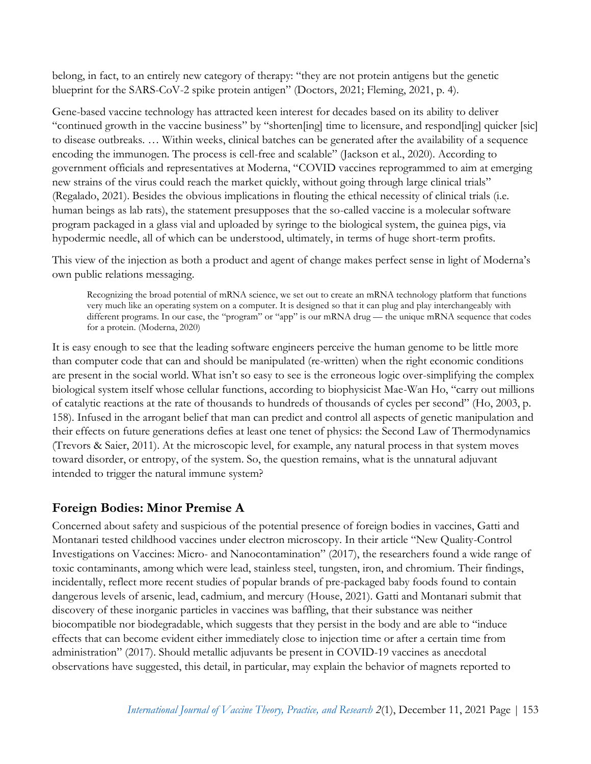belong, in fact, to an entirely new category of therapy: "they are not protein antigens but the genetic blueprint for the SARS-CoV-2 spike protein antigen" (Doctors, 2021; Fleming, 2021, p. 4).

Gene-based vaccine technology has attracted keen interest for decades based on its ability to deliver "continued growth in the vaccine business" by "shorten[ing] time to licensure, and respond[ing] quicker [sic] to disease outbreaks. … Within weeks, clinical batches can be generated after the availability of a sequence encoding the immunogen. The process is cell-free and scalable" (Jackson et al., 2020). According to government officials and representatives at Moderna, "COVID vaccines reprogrammed to aim at emerging new strains of the virus could reach the market quickly, without going through large clinical trials" (Regalado, 2021). Besides the obvious implications in flouting the ethical necessity of clinical trials (i.e. human beings as lab rats), the statement presupposes that the so-called vaccine is a molecular software program packaged in a glass vial and uploaded by syringe to the biological system, the guinea pigs, via hypodermic needle, all of which can be understood, ultimately, in terms of huge short-term profits.

This view of the injection as both a product and agent of change makes perfect sense in light of Moderna's own public relations messaging.

Recognizing the broad potential of mRNA science, we set out to create an mRNA technology platform that functions very much like an operating system on a computer. It is designed so that it can plug and play interchangeably with different programs. In our case, the "program" or "app" is our mRNA drug — the unique mRNA sequence that codes for a protein. (Moderna, 2020)

It is easy enough to see that the leading software engineers perceive the human genome to be little more than computer code that can and should be manipulated (re-written) when the right economic conditions are present in the social world. What isn't so easy to see is the erroneous logic over-simplifying the complex biological system itself whose cellular functions, according to biophysicist Mae-Wan Ho, "carry out millions of catalytic reactions at the rate of thousands to hundreds of thousands of cycles per second" (Ho, 2003, p. 158). Infused in the arrogant belief that man can predict and control all aspects of genetic manipulation and their effects on future generations defies at least one tenet of physics: the Second Law of Thermodynamics (Trevors & Saier, 2011). At the microscopic level, for example, any natural process in that system moves toward disorder, or entropy, of the system. So, the question remains, what is the unnatural adjuvant intended to trigger the natural immune system?

# **Foreign Bodies: Minor Premise A**

Concerned about safety and suspicious of the potential presence of foreign bodies in vaccines, Gatti and Montanari tested childhood vaccines under electron microscopy. In their article "New Quality-Control Investigations on Vaccines: Micro- and Nanocontamination" (2017), the researchers found a wide range of toxic contaminants, among which were lead, stainless steel, tungsten, iron, and chromium. Their findings, incidentally, reflect more recent studies of popular brands of pre-packaged baby foods found to contain dangerous levels of arsenic, lead, cadmium, and mercury (House, 2021). Gatti and Montanari submit that discovery of these inorganic particles in vaccines was baffling, that their substance was neither biocompatible nor biodegradable, which suggests that they persist in the body and are able to "induce effects that can become evident either immediately close to injection time or after a certain time from administration" (2017). Should metallic adjuvants be present in COVID-19 vaccines as anecdotal observations have suggested, this detail, in particular, may explain the behavior of magnets reported to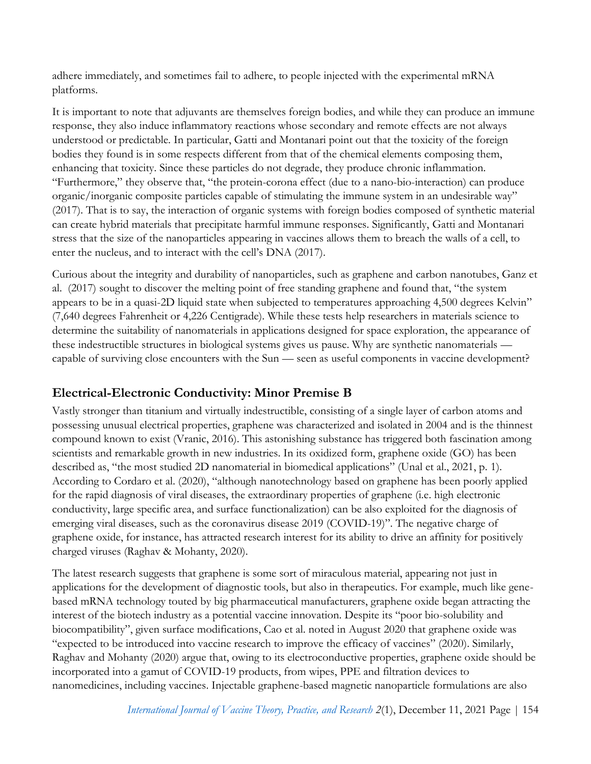adhere immediately, and sometimes fail to adhere, to people injected with the experimental mRNA platforms.

It is important to note that adjuvants are themselves foreign bodies, and while they can produce an immune response, they also induce inflammatory reactions whose secondary and remote effects are not always understood or predictable. In particular, Gatti and Montanari point out that the toxicity of the foreign bodies they found is in some respects different from that of the chemical elements composing them, enhancing that toxicity. Since these particles do not degrade, they produce chronic inflammation. "Furthermore," they observe that, "the protein-corona effect (due to a nano-bio-interaction) can produce organic/inorganic composite particles capable of stimulating the immune system in an undesirable way" (2017). That is to say, the interaction of organic systems with foreign bodies composed of synthetic material can create hybrid materials that precipitate harmful immune responses. Significantly, Gatti and Montanari stress that the size of the nanoparticles appearing in vaccines allows them to breach the walls of a cell, to enter the nucleus, and to interact with the cell's DNA (2017).

Curious about the integrity and durability of nanoparticles, such as graphene and carbon nanotubes, Ganz et al. (2017) sought to discover the melting point of free standing graphene and found that, "the system appears to be in a quasi-2D liquid state when subjected to temperatures approaching 4,500 degrees Kelvin" (7,640 degrees Fahrenheit or 4,226 Centigrade). While these tests help researchers in materials science to determine the suitability of nanomaterials in applications designed for space exploration, the appearance of these indestructible structures in biological systems gives us pause. Why are synthetic nanomaterials capable of surviving close encounters with the Sun — seen as useful components in vaccine development?

# **Electrical-Electronic Conductivity: Minor Premise B**

Vastly stronger than titanium and virtually indestructible, consisting of a single layer of carbon atoms and possessing unusual electrical properties, graphene was characterized and isolated in 2004 and is the thinnest compound known to exist (Vranic, 2016). This astonishing substance has triggered both fascination among scientists and remarkable growth in new industries. In its oxidized form, graphene oxide (GO) has been described as, "the most studied 2D nanomaterial in biomedical applications" (Unal et al., 2021, p. 1). According to Cordaro et al. (2020), "although nanotechnology based on graphene has been poorly applied for the rapid diagnosis of viral diseases, the extraordinary properties of graphene (i.e. high electronic conductivity, large specific area, and surface functionalization) can be also exploited for the diagnosis of emerging viral diseases, such as the coronavirus disease 2019 (COVID-19)". The negative charge of graphene oxide, for instance, has attracted research interest for its ability to drive an affinity for positively charged viruses (Raghav & Mohanty, 2020).

The latest research suggests that graphene is some sort of miraculous material, appearing not just in applications for the development of diagnostic tools, but also in therapeutics. For example, much like genebased mRNA technology touted by big pharmaceutical manufacturers, graphene oxide began attracting the interest of the biotech industry as a potential vaccine innovation. Despite its "poor bio-solubility and biocompatibility", given surface modifications, Cao et al. noted in August 2020 that graphene oxide was "expected to be introduced into vaccine research to improve the efficacy of vaccines" (2020). Similarly, Raghav and Mohanty (2020) argue that, owing to its electroconductive properties, graphene oxide should be incorporated into a gamut of COVID-19 products, from wipes, PPE and filtration devices to nanomedicines, including vaccines. Injectable graphene-based magnetic nanoparticle formulations are also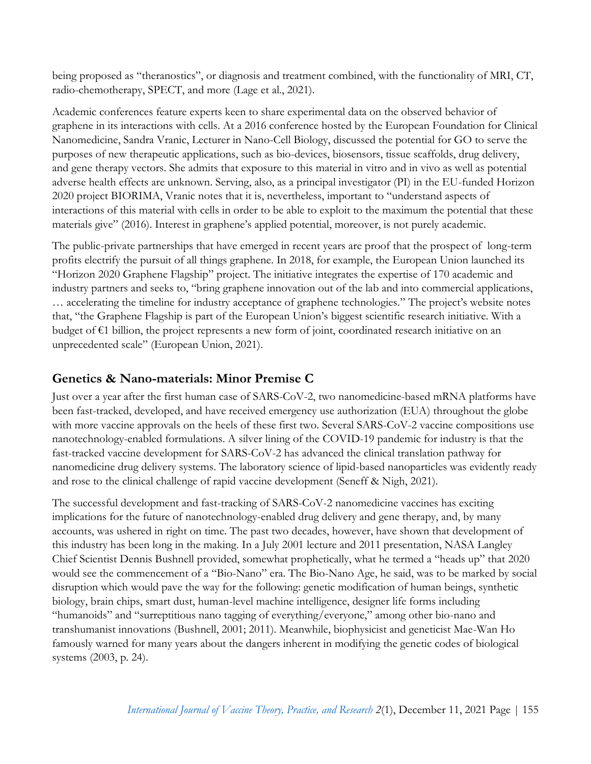being proposed as "theranostics", or diagnosis and treatment combined, with the functionality of MRI, CT, radio-chemotherapy, SPECT, and more (Lage et al., 2021).

Academic conferences feature experts keen to share experimental data on the observed behavior of graphene in its interactions with cells. At a 2016 conference hosted by the European Foundation for Clinical Nanomedicine, Sandra Vranic, Lecturer in Nano-Cell Biology, discussed the potential for GO to serve the purposes of new therapeutic applications, such as bio-devices, biosensors, tissue scaffolds, drug delivery, and gene therapy vectors. She admits that exposure to this material in vitro and in vivo as well as potential adverse health effects are unknown. Serving, also, as a principal investigator (PI) in the EU-funded Horizon 2020 project BIORIMA, Vranic notes that it is, nevertheless, important to "understand aspects of interactions of this material with cells in order to be able to exploit to the maximum the potential that these materials give" (2016). Interest in graphene's applied potential, moreover, is not purely academic.

The public-private partnerships that have emerged in recent years are proof that the prospect of long-term profits electrify the pursuit of all things graphene. In 2018, for example, the European Union launched its "Horizon 2020 Graphene Flagship" project. The initiative integrates the expertise of 170 academic and industry partners and seeks to, "bring graphene innovation out of the lab and into commercial applications, … accelerating the timeline for industry acceptance of graphene technologies." The project's website notes that, "the Graphene Flagship is part of the European Union's biggest scientific research initiative. With a budget of  $\epsilon$ 1 billion, the project represents a new form of joint, coordinated research initiative on an unprecedented scale" (European Union, 2021).

#### **Genetics & Nano-materials: Minor Premise C**

Just over a year after the first human case of SARS-CoV-2, two nanomedicine-based mRNA platforms have been fast-tracked, developed, and have received emergency use authorization (EUA) throughout the globe with more vaccine approvals on the heels of these first two. Several SARS-CoV-2 vaccine compositions use nanotechnology-enabled formulations. A silver lining of the COVID-19 pandemic for industry is that the fast-tracked vaccine development for SARS-CoV-2 has advanced the clinical translation pathway for nanomedicine drug delivery systems. The laboratory science of lipid-based nanoparticles was evidently ready and rose to the clinical challenge of rapid vaccine development (Seneff & Nigh, 2021).

The successful development and fast-tracking of SARS-CoV-2 nanomedicine vaccines has exciting implications for the future of nanotechnology-enabled drug delivery and gene therapy, and, by many accounts, was ushered in right on time. The past two decades, however, have shown that development of this industry has been long in the making. In a July 2001 lecture and 2011 presentation, NASA Langley Chief Scientist Dennis Bushnell provided, somewhat prophetically, what he termed a "heads up" that 2020 would see the commencement of a "Bio-Nano" era. The Bio-Nano Age, he said, was to be marked by social disruption which would pave the way for the following: genetic modification of human beings, synthetic biology, brain chips, smart dust, human-level machine intelligence, designer life forms including "humanoids" and "surreptitious nano tagging of everything/everyone," among other bio-nano and transhumanist innovations (Bushnell, 2001; 2011). Meanwhile, biophysicist and geneticist Mae-Wan Ho famously warned for many years about the dangers inherent in modifying the genetic codes of biological systems (2003, p. 24).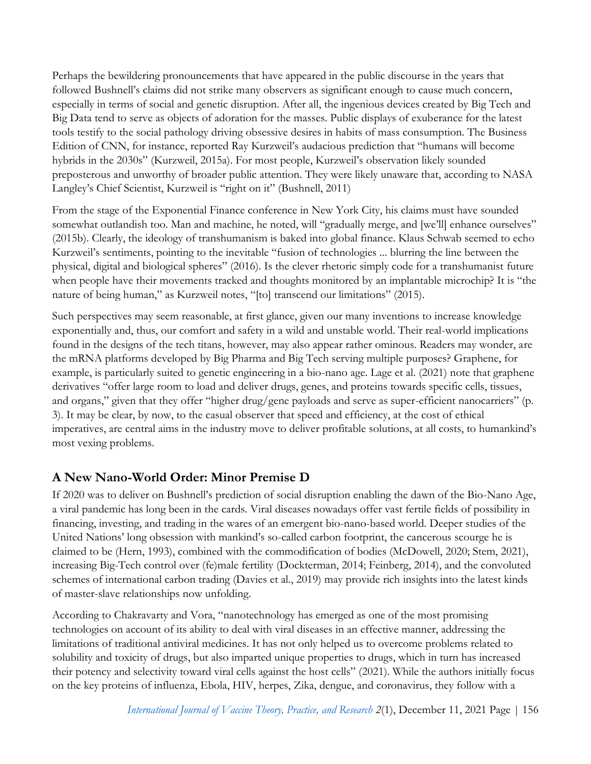Perhaps the bewildering pronouncements that have appeared in the public discourse in the years that followed Bushnell's claims did not strike many observers as significant enough to cause much concern, especially in terms of social and genetic disruption. After all, the ingenious devices created by Big Tech and Big Data tend to serve as objects of adoration for the masses. Public displays of exuberance for the latest tools testify to the social pathology driving obsessive desires in habits of mass consumption. The Business Edition of CNN, for instance, reported Ray Kurzweil's audacious prediction that "humans will become hybrids in the 2030s" (Kurzweil, 2015a). For most people, Kurzweil's observation likely sounded preposterous and unworthy of broader public attention. They were likely unaware that, according to NASA Langley's Chief Scientist, Kurzweil is "right on it" (Bushnell, 2011)

From the stage of the Exponential Finance conference in New York City, his claims must have sounded somewhat outlandish too. Man and machine, he noted, will "gradually merge, and [we'll] enhance ourselves" (2015b). Clearly, the ideology of transhumanism is baked into global finance. Klaus Schwab seemed to echo Kurzweil's sentiments, pointing to the inevitable "fusion of technologies ... blurring the line between the physical, digital and biological spheres" (2016). Is the clever rhetoric simply code for a transhumanist future when people have their movements tracked and thoughts monitored by an implantable microchip? It is "the nature of being human," as Kurzweil notes, "[to] transcend our limitations" (2015).

Such perspectives may seem reasonable, at first glance, given our many inventions to increase knowledge exponentially and, thus, our comfort and safety in a wild and unstable world. Their real-world implications found in the designs of the tech titans, however, may also appear rather ominous. Readers may wonder, are the mRNA platforms developed by Big Pharma and Big Tech serving multiple purposes? Graphene, for example, is particularly suited to genetic engineering in a bio-nano age. Lage et al. (2021) note that graphene derivatives "offer large room to load and deliver drugs, genes, and proteins towards specific cells, tissues, and organs," given that they offer "higher drug/gene payloads and serve as super-efficient nanocarriers" (p. 3). It may be clear, by now, to the casual observer that speed and efficiency, at the cost of ethical imperatives, are central aims in the industry move to deliver profitable solutions, at all costs, to humankind's most vexing problems.

# **A New Nano-World Order: Minor Premise D**

If 2020 was to deliver on Bushnell's prediction of social disruption enabling the dawn of the Bio-Nano Age, a viral pandemic has long been in the cards. Viral diseases nowadays offer vast fertile fields of possibility in financing, investing, and trading in the wares of an emergent bio-nano-based world. Deeper studies of the United Nations' long obsession with mankind's so-called carbon footprint, the cancerous scourge he is claimed to be (Hern, 1993), combined with the commodification of bodies (McDowell, 2020; Stem, 2021), increasing Big-Tech control over (fe)male fertility (Dockterman, 2014; Feinberg, 2014), and the convoluted schemes of international carbon trading (Davies et al., 2019) may provide rich insights into the latest kinds of master-slave relationships now unfolding.

According to Chakravarty and Vora, "nanotechnology has emerged as one of the most promising technologies on account of its ability to deal with viral diseases in an effective manner, addressing the limitations of traditional antiviral medicines. It has not only helped us to overcome problems related to solubility and toxicity of drugs, but also imparted unique properties to drugs, which in turn has increased their potency and selectivity toward viral cells against the host cells" (2021). While the authors initially focus on the key proteins of influenza, Ebola, HIV, herpes, Zika, dengue, and coronavirus, they follow with a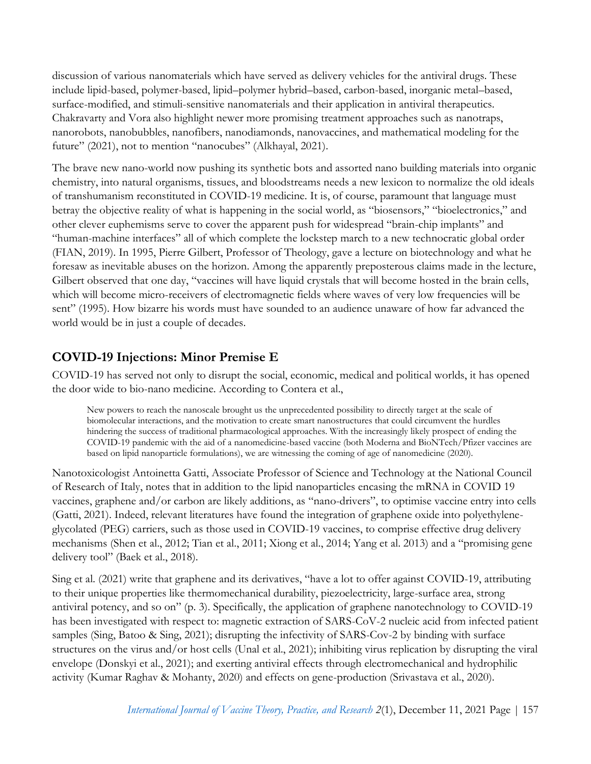discussion of various nanomaterials which have served as delivery vehicles for the antiviral drugs. These include lipid-based, polymer-based, lipid–polymer hybrid–based, carbon-based, inorganic metal–based, surface-modified, and stimuli-sensitive nanomaterials and their application in antiviral therapeutics. Chakravarty and Vora also highlight newer more promising treatment approaches such as nanotraps, nanorobots, nanobubbles, nanofibers, nanodiamonds, nanovaccines, and mathematical modeling for the future" (2021), not to mention "nanocubes" (Alkhayal, 2021).

The brave new nano-world now pushing its synthetic bots and assorted nano building materials into organic chemistry, into natural organisms, tissues, and bloodstreams needs a new lexicon to normalize the old ideals of transhumanism reconstituted in COVID-19 medicine. It is, of course, paramount that language must betray the objective reality of what is happening in the social world, as "biosensors," "bioelectronics," and other clever euphemisms serve to cover the apparent push for widespread "brain-chip implants" and "human-machine interfaces" all of which complete the lockstep march to a new technocratic global order (FIAN, 2019). In 1995, Pierre Gilbert, Professor of Theology, gave a lecture on biotechnology and what he foresaw as inevitable abuses on the horizon. Among the apparently preposterous claims made in the lecture, Gilbert observed that one day, "vaccines will have liquid crystals that will become hosted in the brain cells, which will become micro-receivers of electromagnetic fields where waves of very low frequencies will be sent" (1995). How bizarre his words must have sounded to an audience unaware of how far advanced the world would be in just a couple of decades.

# **COVID-19 Injections: Minor Premise E**

COVID-19 has served not only to disrupt the social, economic, medical and political worlds, it has opened the door wide to bio-nano medicine. According to Contera et al.,

New powers to reach the nanoscale brought us the unprecedented possibility to directly target at the scale of biomolecular interactions, and the motivation to create smart nanostructures that could circumvent the hurdles hindering the success of traditional pharmacological approaches. With the increasingly likely prospect of ending the COVID-19 pandemic with the aid of a nanomedicine-based vaccine (both Moderna and BioNTech/Pfizer vaccines are based on lipid nanoparticle formulations), we are witnessing the coming of age of nanomedicine (2020).

Nanotoxicologist Antoinetta Gatti, Associate Professor of Science and Technology at the National Council of Research of Italy, notes that in addition to the lipid nanoparticles encasing the mRNA in COVID 19 vaccines, graphene and/or carbon are likely additions, as "nano-drivers", to optimise vaccine entry into cells (Gatti, 2021). Indeed, relevant literatures have found the integration of graphene oxide into polyethyleneglycolated (PEG) carriers, such as those used in COVID-19 vaccines, to comprise effective drug delivery mechanisms (Shen et al., 2012; Tian et al., 2011; Xiong et al., 2014; Yang et al. 2013) and a "promising gene delivery tool" (Baek et al., 2018).

Sing et al. (2021) write that graphene and its derivatives, "have a lot to offer against COVID-19, attributing to their unique properties like thermomechanical durability, piezoelectricity, large-surface area, strong antiviral potency, and so on" (p. 3). Specifically, the application of graphene nanotechnology to COVID-19 has been investigated with respect to: magnetic extraction of SARS-CoV-2 nucleic acid from infected patient samples (Sing, Batoo & Sing, 2021); disrupting the infectivity of SARS-Cov-2 by binding with surface structures on the virus and/or host cells (Unal et al., 2021); inhibiting virus replication by disrupting the viral envelope (Donskyi et al., 2021); and exerting antiviral effects through electromechanical and hydrophilic activity (Kumar Raghav & Mohanty, 2020) and effects on gene-production (Srivastava et al., 2020).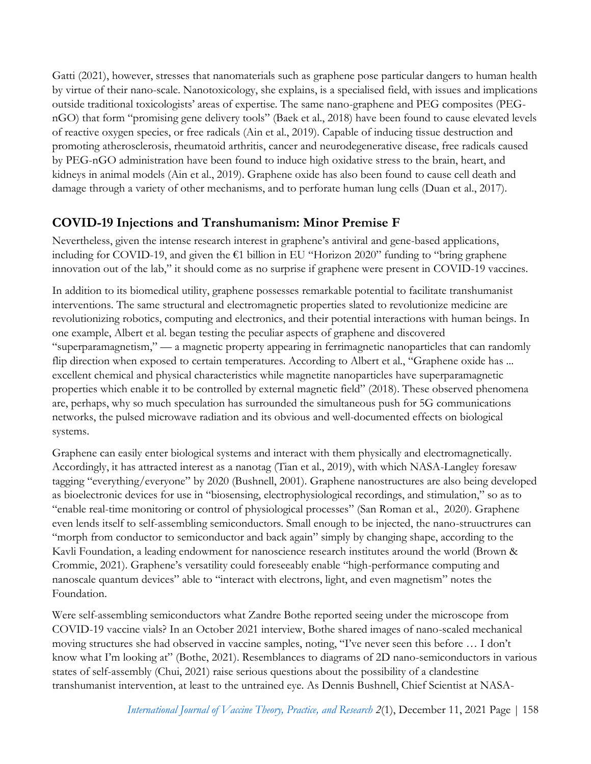Gatti (2021), however, stresses that nanomaterials such as graphene pose particular dangers to human health by virtue of their nano-scale. Nanotoxicology, she explains, is a specialised field, with issues and implications outside traditional toxicologists' areas of expertise. The same nano-graphene and PEG composites (PEGnGO) that form "promising gene delivery tools" (Baek et al., 2018) have been found to cause elevated levels of reactive oxygen species, or free radicals (Ain et al., 2019). Capable of inducing tissue destruction and promoting atherosclerosis, rheumatoid arthritis, cancer and neurodegenerative disease, free radicals caused by PEG-nGO administration have been found to induce high oxidative stress to the brain, heart, and kidneys in animal models (Ain et al., 2019). Graphene oxide has also been found to cause cell death and damage through a variety of other mechanisms, and to perforate human lung cells (Duan et al., 2017).

#### **COVID-19 Injections and Transhumanism: Minor Premise F**

Nevertheless, given the intense research interest in graphene's antiviral and gene-based applications, including for COVID-19, and given the €1 billion in EU "Horizon 2020" funding to "bring graphene innovation out of the lab," it should come as no surprise if graphene were present in COVID-19 vaccines.

In addition to its biomedical utility, graphene possesses remarkable potential to facilitate transhumanist interventions. The same structural and electromagnetic properties slated to revolutionize medicine are revolutionizing robotics, computing and electronics, and their potential interactions with human beings. In one example, Albert et al. began testing the peculiar aspects of graphene and discovered "superparamagnetism," — a magnetic property appearing in ferrimagnetic nanoparticles that can randomly flip direction when exposed to certain temperatures. According to Albert et al., "Graphene oxide has ... excellent chemical and physical characteristics while magnetite nanoparticles have superparamagnetic properties which enable it to be controlled by external magnetic field" (2018). These observed phenomena are, perhaps, why so much speculation has surrounded the simultaneous push for 5G communications networks, the pulsed microwave radiation and its obvious and well-documented effects on biological systems.

Graphene can easily enter biological systems and interact with them physically and electromagnetically. Accordingly, it has attracted interest as a nanotag (Tian et al., 2019), with which NASA-Langley foresaw tagging "everything/everyone" by 2020 (Bushnell, 2001). Graphene nanostructures are also being developed as bioelectronic devices for use in "biosensing, electrophysiological recordings, and stimulation," so as to "enable real-time monitoring or control of physiological processes" (San Roman et al., 2020). Graphene even lends itself to self-assembling semiconductors. Small enough to be injected, the nano-struuctrures can "morph from conductor to semiconductor and back again" simply by changing shape, according to the Kavli Foundation, a leading endowment for nanoscience research institutes around the world (Brown & Crommie, 2021). Graphene's versatility could foreseeably enable "high-performance computing and nanoscale quantum devices" able to "interact with electrons, light, and even magnetism" notes the Foundation.

Were self-assembling semiconductors what Zandre Bothe reported seeing under the microscope from COVID-19 vaccine vials? In an October 2021 interview, Bothe shared images of nano-scaled mechanical moving structures she had observed in vaccine samples, noting, "I've never seen this before … I don't know what I'm looking at" (Bothe, 2021). Resemblances to diagrams of 2D nano-semiconductors in various states of self-assembly (Chui, 2021) raise serious questions about the possibility of a clandestine transhumanist intervention, at least to the untrained eye. As Dennis Bushnell, Chief Scientist at NASA-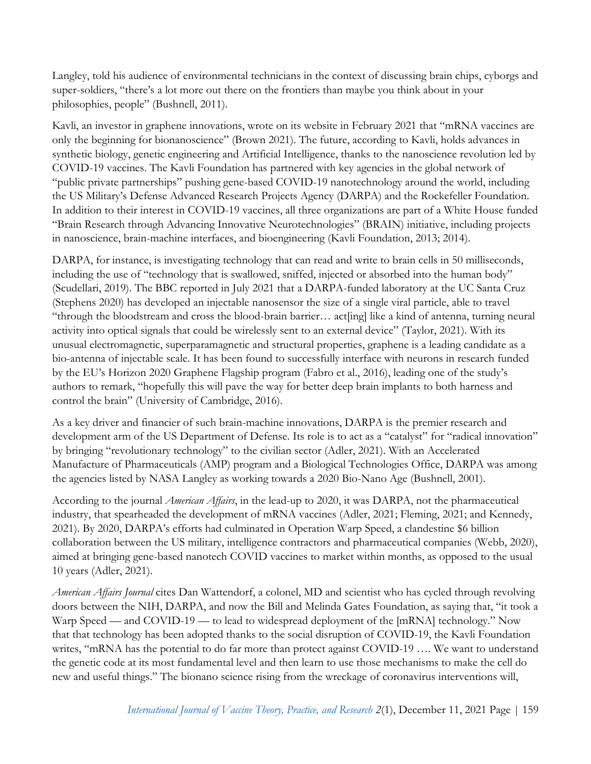Langley, told his audience of environmental technicians in the context of discussing brain chips, cyborgs and super-soldiers, "there's a lot more out there on the frontiers than maybe you think about in your philosophies, people" (Bushnell, 2011).

Kavli, an investor in graphene innovations, wrote on its website in February 2021 that "mRNA vaccines are only the beginning for bionanoscience" (Brown 2021). The future, according to Kavli, holds advances in synthetic biology, genetic engineering and Artificial Intelligence, thanks to the nanoscience revolution led by COVID-19 vaccines. The Kavli Foundation has partnered with key agencies in the global network of "public private partnerships" pushing gene-based COVID-19 nanotechnology around the world, including the US Military's Defense Advanced Research Projects Agency (DARPA) and the Rockefeller Foundation. In addition to their interest in COVID-19 vaccines, all three organizations are part of a White House funded "Brain Research through Advancing Innovative Neurotechnologies" (BRAIN) initiative, including projects in nanoscience, brain-machine interfaces, and bioengineering (Kavli Foundation, 2013; 2014).

DARPA, for instance, is investigating technology that can read and write to brain cells in 50 milliseconds, including the use of "technology that is swallowed, sniffed, injected or absorbed into the human body" (Scudellari, 2019). The BBC reported in July 2021 that a DARPA-funded laboratory at the UC Santa Cruz (Stephens 2020) has developed an injectable nanosensor the size of a single viral particle, able to travel "through the bloodstream and cross the blood-brain barrier… act[ing] like a kind of antenna, turning neural activity into optical signals that could be wirelessly sent to an external device" (Taylor, 2021). With its unusual electromagnetic, superparamagnetic and structural properties, graphene is a leading candidate as a bio-antenna of injectable scale. It has been found to successfully interface with neurons in research funded by the EU's Horizon 2020 Graphene Flagship program (Fabro et al., 2016), leading one of the study's authors to remark, "hopefully this will pave the way for better deep brain implants to both harness and control the brain" (University of Cambridge, 2016).

As a key driver and financier of such brain-machine innovations, DARPA is the premier research and development arm of the US Department of Defense. Its role is to act as a "catalyst" for "radical innovation" by bringing "revolutionary technology" to the civilian sector (Adler, 2021). With an Accelerated Manufacture of Pharmaceuticals (AMP) program and a Biological Technologies Office, DARPA was among the agencies listed by NASA Langley as working towards a 2020 Bio-Nano Age (Bushnell, 2001).

According to the journal *American Affairs*, in the lead-up to 2020, it was DARPA, not the pharmaceutical industry, that spearheaded the development of mRNA vaccines (Adler, 2021; Fleming, 2021; and Kennedy, 2021). By 2020, DARPA's efforts had culminated in Operation Warp Speed, a clandestine \$6 billion collaboration between the US military, intelligence contractors and pharmaceutical companies (Webb, 2020), aimed at bringing gene-based nanotech COVID vaccines to market within months, as opposed to the usual 10 years (Adler, 2021).

*American Affairs Journal* cites Dan Wattendorf, a colonel, MD and scientist who has cycled through revolving doors between the NIH, DARPA, and now the Bill and Melinda Gates Foundation, as saying that, "it took a Warp Speed — and COVID-19 — to lead to widespread deployment of the [mRNA] technology." Now that that technology has been adopted thanks to the social disruption of COVID-19, the Kavli Foundation writes, "mRNA has the potential to do far more than protect against COVID-19 .... We want to understand the genetic code at its most fundamental level and then learn to use those mechanisms to make the cell do new and useful things." The bionano science rising from the wreckage of coronavirus interventions will,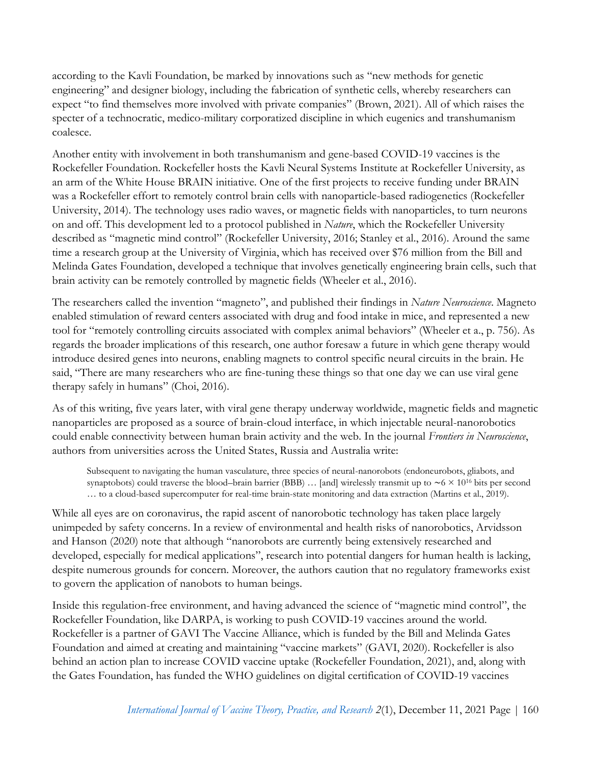according to the Kavli Foundation, be marked by innovations such as "new methods for genetic engineering" and designer biology, including the fabrication of synthetic cells, whereby researchers can expect "to find themselves more involved with private companies" (Brown, 2021). All of which raises the specter of a technocratic, medico-military corporatized discipline in which eugenics and transhumanism coalesce.

Another entity with involvement in both transhumanism and gene-based COVID-19 vaccines is the Rockefeller Foundation. Rockefeller hosts the Kavli Neural Systems Institute at Rockefeller University, as an arm of the White House BRAIN initiative. One of the first projects to receive funding under BRAIN was a Rockefeller effort to remotely control brain cells with nanoparticle-based radiogenetics (Rockefeller University, 2014). The technology uses radio waves, or magnetic fields with nanoparticles, to turn neurons on and off. This development led to a protocol published in *Nature*, which the Rockefeller University described as "magnetic mind control" (Rockefeller University, 2016; Stanley et al., 2016). Around the same time a research group at the University of Virginia, which has received over \$76 million from the Bill and Melinda Gates Foundation, developed a technique that involves genetically engineering brain cells, such that brain activity can be remotely controlled by magnetic fields (Wheeler et al., 2016).

The researchers called the invention "magneto", and published their findings in *Nature Neuroscience*. Magneto enabled stimulation of reward centers associated with drug and food intake in mice, and represented a new tool for "remotely controlling circuits associated with complex animal behaviors" (Wheeler et a., p. 756). As regards the broader implications of this research, one author foresaw a future in which gene therapy would introduce desired genes into neurons, enabling magnets to control specific neural circuits in the brain. He said, "There are many researchers who are fine-tuning these things so that one day we can use viral gene therapy safely in humans" (Choi, 2016).

As of this writing, five years later, with viral gene therapy underway worldwide, magnetic fields and magnetic nanoparticles are proposed as a source of brain-cloud interface, in which injectable neural-nanorobotics could enable connectivity between human brain activity and the web. In the journal *Frontiers in Neuroscience*, authors from universities across the United States, Russia and Australia write:

Subsequent to navigating the human vasculature, three species of neural-nanorobots (endoneurobots, gliabots, and synaptobots) could traverse the blood–brain barrier (BBB) … [and] wirelessly transmit up to  $\sim 6 \times 10^{16}$  bits per second … to a cloud-based supercomputer for real-time brain-state monitoring and data extraction (Martins et al., 2019).

While all eyes are on coronavirus, the rapid ascent of nanorobotic technology has taken place largely unimpeded by safety concerns. In a review of environmental and health risks of nanorobotics, Arvidsson and Hanson (2020) note that although "nanorobots are currently being extensively researched and developed, especially for medical applications", research into potential dangers for human health is lacking, despite numerous grounds for concern. Moreover, the authors caution that no regulatory frameworks exist to govern the application of nanobots to human beings.

Inside this regulation-free environment, and having advanced the science of "magnetic mind control", the Rockefeller Foundation, like DARPA, is working to push COVID-19 vaccines around the world. Rockefeller is a partner of GAVI The Vaccine Alliance, which is funded by the Bill and Melinda Gates Foundation and aimed at creating and maintaining "vaccine markets" (GAVI, 2020). Rockefeller is also behind an action plan to increase COVID vaccine uptake (Rockefeller Foundation, 2021), and, along with the Gates Foundation, has funded the WHO guidelines on digital certification of COVID-19 vaccines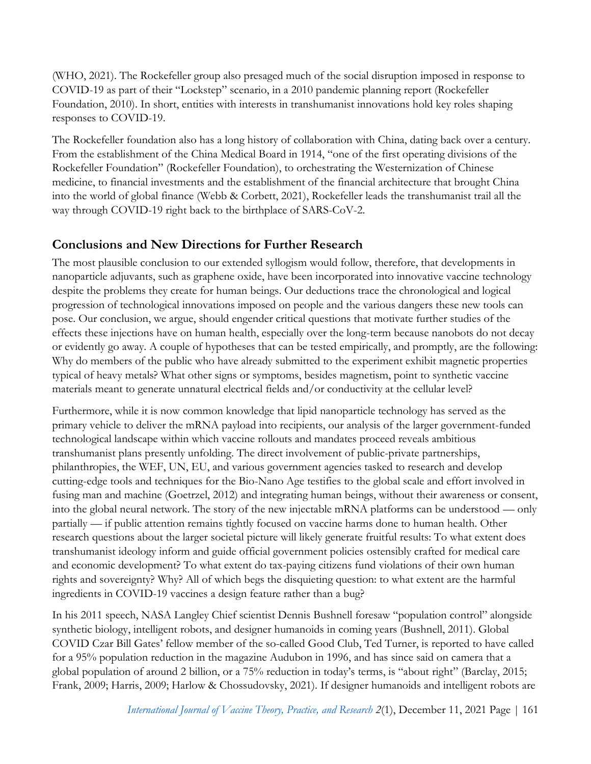(WHO, 2021). The Rockefeller group also presaged much of the social disruption imposed in response to COVID-19 as part of their "Lockstep" scenario, in a 2010 pandemic planning report (Rockefeller Foundation, 2010). In short, entities with interests in transhumanist innovations hold key roles shaping responses to COVID-19.

The Rockefeller foundation also has a long history of collaboration with China, dating back over a century. From the establishment of the China Medical Board in 1914, "one of the first operating divisions of the Rockefeller Foundation" (Rockefeller Foundation), to orchestrating the Westernization of Chinese medicine, to financial investments and the establishment of the financial architecture that brought China into the world of global finance (Webb & Corbett, 2021), Rockefeller leads the transhumanist trail all the way through COVID-19 right back to the birthplace of SARS-CoV-2.

# **Conclusions and New Directions for Further Research**

The most plausible conclusion to our extended syllogism would follow, therefore, that developments in nanoparticle adjuvants, such as graphene oxide, have been incorporated into innovative vaccine technology despite the problems they create for human beings. Our deductions trace the chronological and logical progression of technological innovations imposed on people and the various dangers these new tools can pose. Our conclusion, we argue, should engender critical questions that motivate further studies of the effects these injections have on human health, especially over the long-term because nanobots do not decay or evidently go away. A couple of hypotheses that can be tested empirically, and promptly, are the following: Why do members of the public who have already submitted to the experiment exhibit magnetic properties typical of heavy metals? What other signs or symptoms, besides magnetism, point to synthetic vaccine materials meant to generate unnatural electrical fields and/or conductivity at the cellular level?

Furthermore, while it is now common knowledge that lipid nanoparticle technology has served as the primary vehicle to deliver the mRNA payload into recipients, our analysis of the larger government-funded technological landscape within which vaccine rollouts and mandates proceed reveals ambitious transhumanist plans presently unfolding. The direct involvement of public-private partnerships, philanthropies, the WEF, UN, EU, and various government agencies tasked to research and develop cutting-edge tools and techniques for the Bio-Nano Age testifies to the global scale and effort involved in fusing man and machine (Goetrzel, 2012) and integrating human beings, without their awareness or consent, into the global neural network. The story of the new injectable mRNA platforms can be understood — only partially — if public attention remains tightly focused on vaccine harms done to human health. Other research questions about the larger societal picture will likely generate fruitful results: To what extent does transhumanist ideology inform and guide official government policies ostensibly crafted for medical care and economic development? To what extent do tax-paying citizens fund violations of their own human rights and sovereignty? Why? All of which begs the disquieting question: to what extent are the harmful ingredients in COVID-19 vaccines a design feature rather than a bug?

In his 2011 speech, NASA Langley Chief scientist Dennis Bushnell foresaw "population control" alongside synthetic biology, intelligent robots, and designer humanoids in coming years (Bushnell, 2011). Global COVID Czar Bill Gates' fellow member of the so-called Good Club, Ted Turner, is reported to have called for a 95% population reduction in the magazine Audubon in 1996, and has since said on camera that a global population of around 2 billion, or a 75% reduction in today's terms, is "about right" (Barclay, 2015; Frank, 2009; Harris, 2009; Harlow & Chossudovsky, 2021). If designer humanoids and intelligent robots are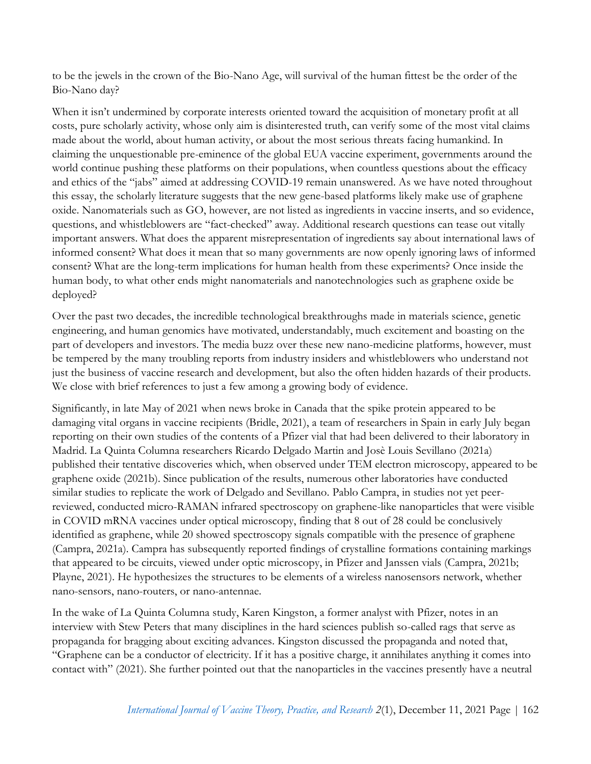to be the jewels in the crown of the Bio-Nano Age, will survival of the human fittest be the order of the Bio-Nano day?

When it isn't undermined by corporate interests oriented toward the acquisition of monetary profit at all costs, pure scholarly activity, whose only aim is disinterested truth, can verify some of the most vital claims made about the world, about human activity, or about the most serious threats facing humankind. In claiming the unquestionable pre-eminence of the global EUA vaccine experiment, governments around the world continue pushing these platforms on their populations, when countless questions about the efficacy and ethics of the "jabs" aimed at addressing COVID-19 remain unanswered. As we have noted throughout this essay, the scholarly literature suggests that the new gene-based platforms likely make use of graphene oxide. Nanomaterials such as GO, however, are not listed as ingredients in vaccine inserts, and so evidence, questions, and whistleblowers are "fact-checked" away. Additional research questions can tease out vitally important answers. What does the apparent misrepresentation of ingredients say about international laws of informed consent? What does it mean that so many governments are now openly ignoring laws of informed consent? What are the long-term implications for human health from these experiments? Once inside the human body, to what other ends might nanomaterials and nanotechnologies such as graphene oxide be deployed?

Over the past two decades, the incredible technological breakthroughs made in materials science, genetic engineering, and human genomics have motivated, understandably, much excitement and boasting on the part of developers and investors. The media buzz over these new nano-medicine platforms, however, must be tempered by the many troubling reports from industry insiders and whistleblowers who understand not just the business of vaccine research and development, but also the often hidden hazards of their products. We close with brief references to just a few among a growing body of evidence.

Significantly, in late May of 2021 when news broke in Canada that the spike protein appeared to be damaging vital organs in vaccine recipients (Bridle, 2021), a team of researchers in Spain in early July began reporting on their own studies of the contents of a Pfizer vial that had been delivered to their laboratory in Madrid. La Quinta Columna researchers Ricardo Delgado Martin and Josè Louis Sevillano (2021a) published their tentative discoveries which, when observed under TEM electron microscopy, appeared to be graphene oxide (2021b). Since publication of the results, numerous other laboratories have conducted similar studies to replicate the work of Delgado and Sevillano. Pablo Campra, in studies not yet peerreviewed, conducted micro-RAMAN infrared spectroscopy on graphene-like nanoparticles that were visible in COVID mRNA vaccines under optical microscopy, finding that 8 out of 28 could be conclusively identified as graphene, while 20 showed spectroscopy signals compatible with the presence of graphene (Campra, 2021a). Campra has subsequently reported findings of crystalline formations containing markings that appeared to be circuits, viewed under optic microscopy, in Pfizer and Janssen vials (Campra, 2021b; Playne, 2021). He hypothesizes the structures to be elements of a wireless nanosensors network, whether nano-sensors, nano-routers, or nano-antennae.

In the wake of La Quinta Columna study, Karen Kingston, a former analyst with Pfizer, notes in an interview with Stew Peters that many disciplines in the hard sciences publish so-called rags that serve as propaganda for bragging about exciting advances. Kingston discussed the propaganda and noted that, "Graphene can be a conductor of electricity. If it has a positive charge, it annihilates anything it comes into contact with" (2021). She further pointed out that the nanoparticles in the vaccines presently have a neutral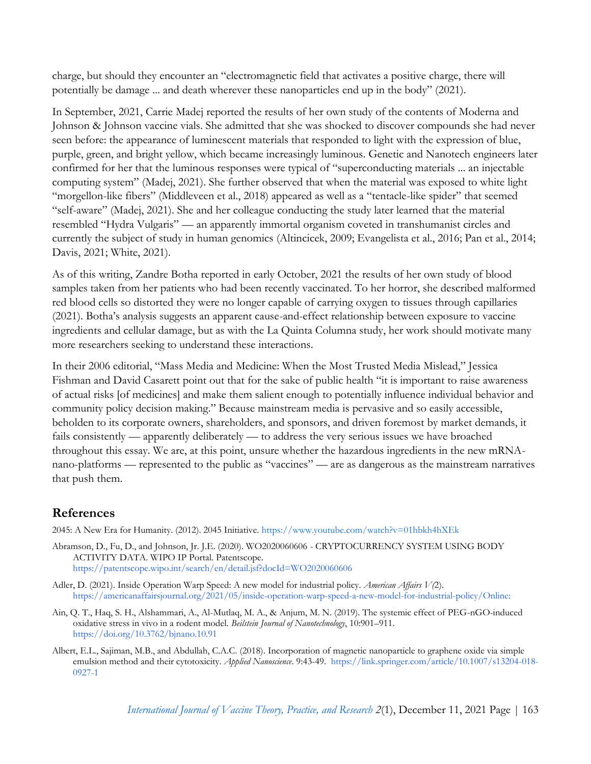charge, but should they encounter an "electromagnetic field that activates a positive charge, there will potentially be damage ... and death wherever these nanoparticles end up in the body" (2021).

In September, 2021, Carrie Madej reported the results of her own study of the contents of Moderna and Johnson & Johnson vaccine vials. She admitted that she was shocked to discover compounds she had never seen before: the appearance of luminescent materials that responded to light with the expression of blue, purple, green, and bright yellow, which became increasingly luminous. Genetic and Nanotech engineers later confirmed for her that the luminous responses were typical of "superconducting materials ... an injectable computing system" (Madej, 2021). She further observed that when the material was exposed to white light "morgellon-like fibers" (Middleveen et al., 2018) appeared as well as a "tentacle-like spider" that seemed "self-aware" (Madej, 2021). She and her colleague conducting the study later learned that the material resembled "Hydra Vulgaris" — an apparently immortal organism coveted in transhumanist circles and currently the subject of study in human genomics (Altincicek, 2009; Evangelista et al., 2016; Pan et al., 2014; Davis, 2021; White, 2021).

As of this writing, Zandre Botha reported in early October, 2021 the results of her own study of blood samples taken from her patients who had been recently vaccinated. To her horror, she described malformed red blood cells so distorted they were no longer capable of carrying oxygen to tissues through capillaries (2021). Botha's analysis suggests an apparent cause-and-effect relationship between exposure to vaccine ingredients and cellular damage, but as with the La Quinta Columna study, her work should motivate many more researchers seeking to understand these interactions.

In their 2006 editorial, "Mass Media and Medicine: When the Most Trusted Media Mislead," Jessica Fishman and David Casarett point out that for the sake of public health "it is important to raise awareness of actual risks [of medicines] and make them salient enough to potentially influence individual behavior and community policy decision making." Because mainstream media is pervasive and so easily accessible, beholden to its corporate owners, shareholders, and sponsors, and driven foremost by market demands, it fails consistently — apparently deliberately — to address the very serious issues we have broached throughout this essay. We are, at this point, unsure whether the hazardous ingredients in the new mRNAnano-platforms — represented to the public as "vaccines" — are as dangerous as the mainstream narratives that push them.

#### **References**

2045: A New Era for Humanity. (2012). 2045 Initiative. <https://www.youtube.com/watch?v=01hbkh4hXEk>

- Abramson, D., Fu, D., and Johnson, Jr. J.E. (2020). WO2020060666 CRYPTOCURRENCY SYSTEM USING BODY ACTIVITY DATA. WIPO IP Portal. Patentscope[.](https://patentscope.wipo.int/search/en/detail.jsf?docId=WO2020060606) <https://patentscope.wipo.int/search/en/detail.jsf?docId=WO2020060606>
- Adler, D. (2021). Inside Operation Warp Speed: A new model for industrial policy. *American Affairs V(*2)[.](https://americanaffairsjournal.org/2021/05/inside-operation-warp-speed-a-new-model-for-industrial-policy/) [https://americanaffairsjournal.org/2021/05/inside-operation-warp-speed-a-new-model-for-industrial-policy/O](https://americanaffairsjournal.org/2021/05/inside-operation-warp-speed-a-new-model-for-industrial-policy/)nline:
- Ain, Q. T., Haq, S. H., Alshammari, A., Al-Mutlaq, M. A., & Anjum, M. N. (2019). The sys[temic effect of PEG-nGO-induced](https://doi.org/10.3762/bjnano.10.91)  oxidative stress in vivo in a rodent model. *Beilstein Journal of Nanotechnology*, 10:901–911. <https://doi.org/10.3762/bjnano.10.91>
- Albert, E.L., Sajiman, M.B., and Abdullah, C.A.C. (2018). Incorporation of magnetic nanoparticle to graphene oxide via simple emulsion method and their cytotoxicity. *Applied Nanoscience*. 9:43-49. [https://link.springer.com/article/10.1007/s13204-018-](https://link.springer.com/article/10.1007/s13204-018-0927-1) [0927-1](https://link.springer.com/article/10.1007/s13204-018-0927-1)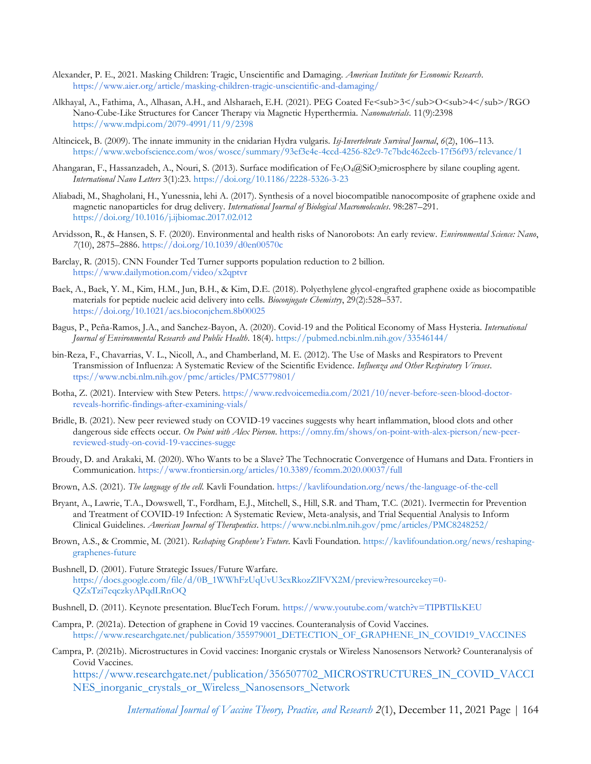- Alexander, P. E., 2021. Masking Children: Tragic, Unscientific and Damaging. *American Institute for Economic Research*[.](https://www.aier.org/article/masking-children-tragic-unscientific-and-damaging/) <https://www.aier.org/article/masking-children-tragic-unscientific-and-damaging/>
- Alkhayal, A., Fathima, A., Alhasan, A.H., and Alsharaeh, E.H. (2021). PEG Coated Fe<sub>3</sub>O<sub>4</sub>/RGO Nano-Cube-Like Structures for Cancer Therapy via Magnetic Hyperthermia. *Nanomaterials*. 11(9):2398 <https://www.mdpi.com/2079-4991/11/9/2398>
- Altincicek, B. (2009). The innate immunity in the cnidarian Hydra vulgaris. *Isj-Invertebrate Survival Journal*, *6*(2), 106–113. <https://www.webofscience.com/wos/woscc/summary/93ef3e4e-4ccd-4256-82c9-7c7bdc462ecb-17f56f93/relevance/1>
- Ahangaran, F., Hassanzadeh, A., Nouri, S. (2013). Surface modification of Fe<sub>3</sub>O<sub>4</sub>@SiO<sub>2</sub>microsphere by silane coupling agent. *International Nano Letters* 3(1):23. https://doi.org/10.1186/2228-5326-3-23
- Aliabadi, M., Shagholani, H., Yunessnia, lehi A. (2017). Synthesis of a novel biocompatible nanocomposite of graphene oxide and magnetic nanoparticles for drug delivery. *International Journal of Biological Macromolecules*. 98:287–291. <https://doi.org/10.1016/j.ijbiomac.2017.02.012>
- Arvidsson, R., & Hansen, S. F. (2020). Environmental and health risks of Nanorobots: An early review. *Environmental Science: Nano*, *7*(10), 2875–2886. <https://doi.org/10.1039/d0en00570c>
- Barclay, R. (2015). CNN Founder Ted Turner supports population reduction to 2 billion[.](https://www.dailymotion.com/video/x2qptvr) <https://www.dailymotion.com/video/x2qptvr>
- Baek, A., Baek, Y. M., Kim, H.M., Jun, B.H., & Kim, D.E. (2018). Polyethylene glycol-engrafted graphene oxide as biocompatible materials for peptide nucleic acid delivery into cells. *Bioconjugate Chemistry*, 29(2):528–53[7.](https://doi.org/10.1021/acs.bioconjchem.8b00025) <https://doi.org/10.1021/acs.bioconjchem.8b00025>
- Bagus, P., Peña-Ramos, J.A., and Sanchez-Bayon, A. (2020). Covid-19 and the Political Economy of Mass Hysteria. *International Journal of Environmental Research and Public Health*. 18(4). <https://pubmed.ncbi.nlm.nih.gov/33546144/>
- bin-Reza, F., Chavarrias, V. L., Nicoll, A., and Chamberland, M. E. (2012). The Use of Masks and Respirators to Prevent Transmission of Influenza: A Systematic Review of the Scientific Evidence. *Influenza and Other Respiratory Viruses*[.](https://www.ncbi.nlm.nih.gov/pmc/articles/PMC5779801/) [ttps://www.ncbi.nlm.nih.gov/pmc/articles/PMC5779801/](https://www.ncbi.nlm.nih.gov/pmc/articles/PMC5779801/)
- Botha, Z. (2021). Interview with Stew Peters. [https://www.redvoicemedia.com/2021/10/never-before-seen-blood-doctor](https://www.redvoicemedia.com/2021/10/never-before-seen-blood-doctor-reveals-horrific-findings-after-examining-vials/)[reveals-horrific-findings-after-examining-vials/](https://www.redvoicemedia.com/2021/10/never-before-seen-blood-doctor-reveals-horrific-findings-after-examining-vials/)
- Bridle, B. (2021). New peer reviewed study on COVID-19 vaccines suggests why heart inflammation, blood clots and other dangerous side effects occur. *On Point with Alex Pierson*. [https://omny.fm/shows/on-point-with-alex-pierson/new-peer](https://omny.fm/shows/on-point-with-alex-pierson/new-peer-reviewed-study-on-covid-19-vaccines-sugge)[reviewed-study-on-covid-19-vaccines-sugge](https://omny.fm/shows/on-point-with-alex-pierson/new-peer-reviewed-study-on-covid-19-vaccines-sugge)
- Broudy, D. and Arakaki, M. (2020). Who Wants to be a Slave? The Technocratic Convergence of Humans and Data. Frontiers in Communication.<https://www.frontiersin.org/articles/10.3389/fcomm.2020.00037/full>
- Brown, A.S. (2021). *The language of the cell*. Kavli Foundation. <https://kavlifoundation.org/news/the-language-of-the-cell>
- Bryant, A., Lawrie, T.A., Dowswell, T., Fordham, E.J., Mitchell, S., Hill, S.R. and Tham, T.C. (2021). Ivermectin for Prevention and Treatment of COVID-19 Infection: A Systematic Review, Meta-analysis, and Trial Sequential Analysis to Inform Clinical Guidelines. *American Journal of Therapeutics*. <https://www.ncbi.nlm.nih.gov/pmc/articles/PMC8248252/>
- Brown, A.S., & Crommie, M. (2021). *Reshaping Graphene's Future*. Kavli Foundation. https://kavlifoundation.org/news/reshapinggraphenes-future
- Bushnell, D. (2001). Future Strategic Issues/Future Warfare[.](https://docs.google.com/file/d/0B_1WWhFzUqUvU3cxRkozZlFVX2M/preview?resourcekey=0-QZxTzi7eqczkyAPqdLRnOQ) [https://docs.google.com/file/d/0B\\_1WWhFzUqUvU3cxRkozZlFVX2M/preview?resourcekey=0-](https://docs.google.com/file/d/0B_1WWhFzUqUvU3cxRkozZlFVX2M/preview?resourcekey=0-QZxTzi7eqczkyAPqdLRnOQ) [QZxTzi7eqczkyAPqdLRnOQ](https://docs.google.com/file/d/0B_1WWhFzUqUvU3cxRkozZlFVX2M/preview?resourcekey=0-QZxTzi7eqczkyAPqdLRnOQ)
- Bushnell, D. (2011). Keynote presentation. BlueTech Forum. <https://www.youtube.com/watch?v=TIPBTIlxKEU>
- Campra, P. (2021a). Detection of graphene in Covid 19 vaccines. Counteranalysis of Covid Vaccines. [https://www.researchgate.net/publication/355979001\\_DETECTION\\_OF\\_GRAPHENE\\_IN\\_COVID19\\_VACCINES](https://www.researchgate.net/publication/355979001_DETECTION_OF_GRAPHENE_IN_COVID19_VACCINES)
- Campra, P. (2021b). Microstructures in Covid vaccines: Inorganic crystals or Wireless Nanosensors Network? Counteranalysis of Covid Vaccines.

[https://www.researchgate.net/publication/356507702\\_MICROSTRUCTURES\\_IN\\_COVID\\_VACCI](https://www.researchgate.net/publication/356507702_MICROSTRUCTURES_IN_COVID_VACCINES_inorganic_crystals_or_Wireless_Nanosensors_Network) [NES\\_inorganic\\_crystals\\_or\\_Wireless\\_Nanosensors\\_Network](https://www.researchgate.net/publication/356507702_MICROSTRUCTURES_IN_COVID_VACCINES_inorganic_crystals_or_Wireless_Nanosensors_Network)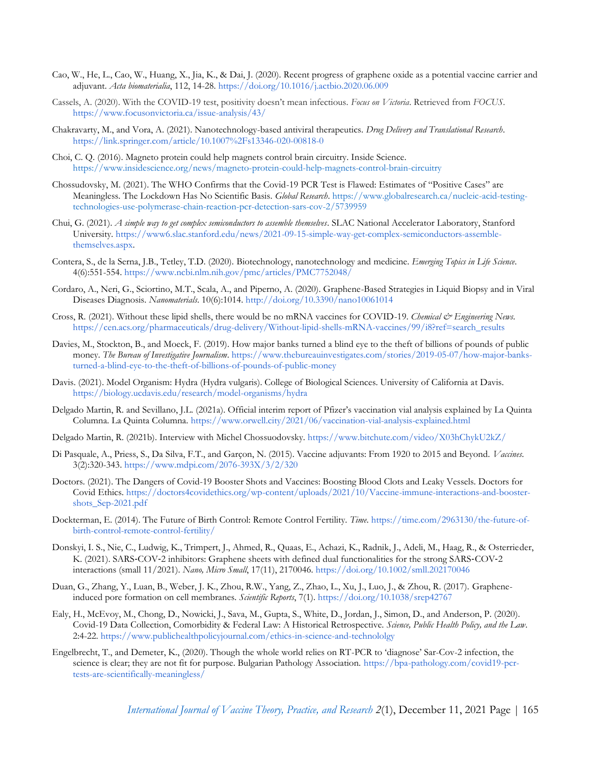- Cao, W., He, L., Cao, W., Huang, X., Jia, K., & Dai, J. (2020). Recent progress of graphene oxide as a potential vaccine carrier and adjuvant. *Acta biomaterialia*, 112, 14-28. <https://doi.org/10.1016/j.actbio.2020.06.009>
- Cassels, A. (2020). With the COVID-19 test, positivity doesn't mean infectious. *Focus on Victoria*. Retrieved from *FOCUS*[.](https://www.focusonvictoria.ca/issue-analysis/43/) <https://www.focusonvictoria.ca/issue-analysis/43/>
- Chakravarty, M., and Vora, A. (2021). Nanotechnology-based antiviral therapeutics. *Drug Delivery and Translational Research*. <https://link.springer.com/article/10.1007%2Fs13346-020-00818-0>
- Choi, C. Q. (2016). Magneto protein could help magnets control brain circuitry. Inside Science. <https://www.insidescience.org/news/magneto-protein-could-help-magnets-control-brain-circuitry>
- Chossudovsky, M. (2021). The WHO Confirms that the Covid-19 PCR Test is Flawed: Estimates of "Positive Cases" are Meaningless. The Lockdown Has No Scientific Basis. *Global Research*. [https://www.globalresearch.ca/nucleic-acid-testing](https://www.globalresearch.ca/nucleic-acid-testing-technologies-use-polymerase-chain-reaction-pcr-detection-sars-cov-2/5739959)[technologies-use-polymerase-chain-reaction-pcr-detection-sars-cov-2/5739959](https://www.globalresearch.ca/nucleic-acid-testing-technologies-use-polymerase-chain-reaction-pcr-detection-sars-cov-2/5739959)
- Chui, G. (2021). *A simple way to get complex semiconductors to assemble themselves*. SLAC National Accelerator Laboratory, Stanford University. [https://www6.slac.stanford.edu/news/2021-09-15-simple-way-get-complex-semiconductors-assemble](https://www6.slac.stanford.edu/news/2021-09-15-simple-way-get-complex-semiconductors-assemble-themselves.aspx)[themselves.aspx.](https://www6.slac.stanford.edu/news/2021-09-15-simple-way-get-complex-semiconductors-assemble-themselves.aspx)
- Contera, S., de la Serna, J.B., Tetley, T.D. (2020). Biotechnology, nanotechnology and medicine. *Emerging Topics in Life Science*. 4(6):551-554. <https://www.ncbi.nlm.nih.gov/pmc/articles/PMC7752048/>
- Cordaro, A., Neri, G., Sciortino, M.T., Scala, A., and Piperno, A. (2020). Graphene-Based Strategies in Liquid Biopsy and in Viral Diseases Diagnosis. *Nanomaterials*. 10(6):1014. <http://doi.org/10.3390/nano10061014>
- Cross, R. (2021). Without these lipid shells, there would be no mRNA vaccines for COVID-19. *Chemical & Engineering News*[.](https://cen.acs.org/pharmaceuticals/drug-delivery/Without-lipid-shells-mRNA-vaccines/99/i8?ref=search_results) [https://cen.acs.org/pharmaceuticals/drug-delivery/Without-lipid-shells-mRNA-vaccines/99/i8?ref=search\\_results](https://cen.acs.org/pharmaceuticals/drug-delivery/Without-lipid-shells-mRNA-vaccines/99/i8?ref=search_results)
- Davies, M., Stockton, B., and Moeck, F. (2019). How major banks turned a blind eye to the theft of billions of pounds of public money. *The Bureau of Investigative Journalism*. [https://www.thebureauinvestigates.com/stories/2019-05-07/how-major-banks](https://www.thebureauinvestigates.com/stories/2019-05-07/how-major-banks-turned-a-blind-eye-to-the-theft-of-billions-of-pounds-of-public-money)[turned-a-blind-eye-to-the-theft-of-billions-of-pounds-of-public-money](https://www.thebureauinvestigates.com/stories/2019-05-07/how-major-banks-turned-a-blind-eye-to-the-theft-of-billions-of-pounds-of-public-money)
- Davis. (2021). Model Organism: Hydra (Hydra vulgaris). College of Biological Sciences. University of California at Davis[.](https://biology.ucdavis.edu/research/model-organisms/hydra) <https://biology.ucdavis.edu/research/model-organisms/hydra>
- Delgado Martin, R. and Sevillano, J.L. (2021a). Official interim report of Pfizer's vaccination vial analysis explained by La Quinta Columna. La Quinta Columna. <https://www.orwell.city/2021/06/vaccination-vial-analysis-explained.html>
- Delgado Martin, R. (2021b). Interview with Michel Chossuodovsky. <https://www.bitchute.com/video/X03hChykU2kZ/>
- Di Pasquale, A., Priess, S., Da Silva, F.T., and Garçon, N. (2015). Vaccine adjuvants: From 1920 to 2015 and Beyond. *Vaccines*. 3(2):320-343. <https://www.mdpi.com/2076-393X/3/2/320>
- Doctors. (2021). The Dangers of Covid-19 Booster Shots and Vaccines: Boosting Blood Clots and Leaky Vessels. Doctors for Covid Ethics. [https://doctors4covidethics.org/wp-content/uploads/2021/10/Vaccine-immune-interactions-and-booster](https://doctors4covidethics.org/wp-content/uploads/2021/10/Vaccine-immune-interactions-and-booster-shots_Sep-2021.pdf)[shots\\_Sep-2021.pdf](https://doctors4covidethics.org/wp-content/uploads/2021/10/Vaccine-immune-interactions-and-booster-shots_Sep-2021.pdf)
- Dockterman, E. (2014). The Future of Birth Control: Remote Control Fertility. *Time*. [https://time.com/2963130/the-future-of](https://time.com/2963130/the-future-of-birth-control-remote-control-fertility/)[birth-control-remote-control-fertility/](https://time.com/2963130/the-future-of-birth-control-remote-control-fertility/)
- Donskyi, I. S., Nie, C., Ludwig, K., Trimpert, J., Ahmed, R., Quaas, E., Achazi, K., Radnik, J., Adeli, M., Haag, R., & Osterrieder, K. (2021). SARS‐COV‐2 inhibitors: Graphene sheets with defined dual functionalities for the strong SARS‐COV‐2 interactions (small 11/2021). *Nano, Micro Small*, 17(11), 2170046. <https://doi.org/10.1002/smll.202170046>
- Duan, G., Zhang, Y., Luan, B., Weber, J. K., Zhou, R.W., Yang, Z., Zhao, L., Xu, J., Luo, J., & Zhou, R. (2017). Grapheneinduced pore formation on cell membranes. *Scientific Reports*, 7(1). <https://doi.org/10.1038/srep42767>
- Ealy, H., McEvoy, M., Chong, D., Nowicki, J., Sava, M., Gupta, S., White, D., Jordan, J., Simon, D., and Anderson, P. (2020). Covid-19 Data Collection, Comorbidity & Federal Law: A Historical Retrospective. *Science, Public Health Policy, and the Law*. 2:4-22. <https://www.publichealthpolicyjournal.com/ethics-in-science-and-technololgy>
- Engelbrecht, T., and Demeter, K., (2020). Though the whole world relies on RT-PCR to 'diagnose' Sar-Cov-2 infection, the science is clear; they are not fit for purpose. Bulgarian Pathology Association. [https://bpa-pathology.com/covid19-pcr](https://bpa-pathology.com/covid19-pcr-tests-are-scientifically-meaningless/)[tests-are-scientifically-meaningless/](https://bpa-pathology.com/covid19-pcr-tests-are-scientifically-meaningless/)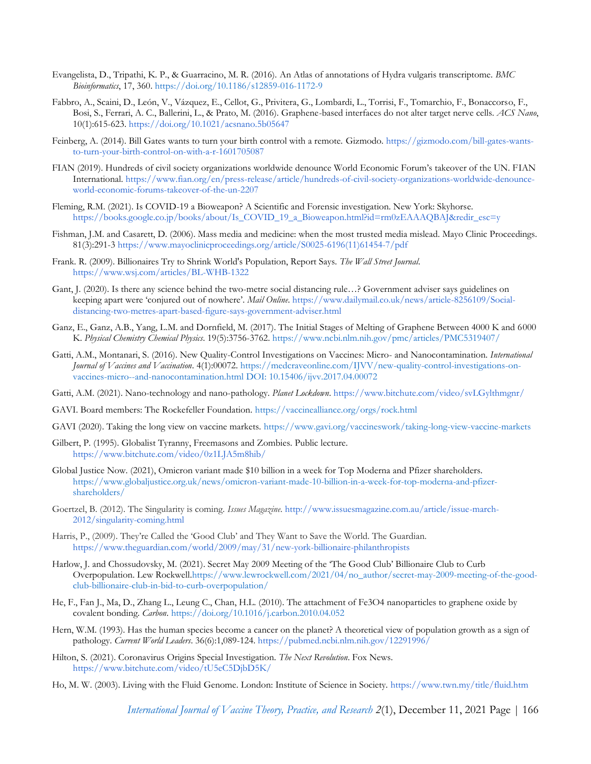- Evangelista, D., Tripathi, K. P., & Guarracino, M. R. (2016). An Atlas of annotations of Hydra vulgaris transcriptome. *BMC Bioinformatics*, 17, 360[. https://doi.org/10.1186/s12859-016-1172-9](https://doi.org/10.1186/s12859-016-1172-9)
- Fabbro, A., Scaini, D., León, V., Vázquez, E., Cellot, G., Privitera, G., Lombardi, L., Torrisi, F., Tomarchio, F., Bonaccorso, F., Bosi, S., Ferrari, A. C., Ballerini, L., & Prato, M. (2016). Graphene-based interfaces do not alter target nerve cells. *ACS Nano*, 10(1):615-623. <https://doi.org/10.1021/acsnano.5b05647>
- Feinberg, A. (2014). Bill Gates wants to turn your birth control with a remote. Gizmodo. [https://gizmodo.com/bill-gates-wants](https://gizmodo.com/bill-gates-wants-to-turn-your-birth-control-on-with-a-r-1601705087)[to-turn-your-birth-control-on-with-a-r-1601705087](https://gizmodo.com/bill-gates-wants-to-turn-your-birth-control-on-with-a-r-1601705087)
- FIAN (2019). Hundreds of civil society organizations worldwide denounce World Economic Forum's takeover of the UN. FIAN International. [https://www.fian.org/en/press-release/article/hundreds-of-civil-society-organizations-worldwide-denounce](https://www.fian.org/en/press-release/article/hundreds-of-civil-society-organizations-worldwide-denounce-world-economic-forums-takeover-of-the-un-2207)[world-economic-forums-takeover-of-the-un-2207](https://www.fian.org/en/press-release/article/hundreds-of-civil-society-organizations-worldwide-denounce-world-economic-forums-takeover-of-the-un-2207)
- Fleming, R.M. (2021). Is COVID-19 a Bioweapon? A Scientific and Forensic investigation. New York: Skyhorse. [https://books.google.co.jp/books/about/Is\\_COVID\\_19\\_a\\_Bioweapon.html?id=rm0zEAAAQBAJ&redir\\_esc=y](https://books.google.co.jp/books/about/Is_COVID_19_a_Bioweapon.html?id=rm0zEAAAQBAJ&redir_esc=y)
- Fishman, J.M. and Casarett, D. (2006). Mass media and medicine: when the most trusted media mislead. Mayo Clinic Proceedings. 81(3):291-3 [https://www.mayoclinicproceedings.org/article/S0025-6196\(11\)61454-7/pdf](https://www.mayoclinicproceedings.org/article/S0025-6196(11)61454-7/pdf)
- Frank. R. (2009). Billionaires Try to Shrink World's Population, Report Says. *The Wall Street Journal*[.](https://www.wsj.com/articles/BL-WHB-1322) <https://www.wsj.com/articles/BL-WHB-1322>
- Gant, J. (2020). Is there any science behind the two-metre social distancing rule…? Government adviser says guidelines on keeping apart were 'conjured out of nowhere'. *Mail Online*. [https://www.dailymail.co.uk/news/article-8256109/Social](https://www.dailymail.co.uk/news/article-8256109/Social-distancing-two-metres-apart-based-figure-says-government-adviser.html)[distancing-two-metres-apart-based-figure-says-government-adviser.html](https://www.dailymail.co.uk/news/article-8256109/Social-distancing-two-metres-apart-based-figure-says-government-adviser.html)
- Ganz, E., Ganz, A.B., Yang, L.M. and Dornfield, M. (2017). The Initial Stages of Melting of Graphene Between 4000 K and 6000 K. *Physical Chemistry Chemical Physics*. 19(5):3756-3762.<https://www.ncbi.nlm.nih.gov/pmc/articles/PMC5319407/>
- Gatti, A.M., Montanari, S. (2016). New Quality-Control Investigations on Vaccines: Micro- and Nanocontamination. *International Journal of Vaccines and Vaccination*. 4(1):00072. [https://medcraveonline.com/IJVV/new-quality-control-investigations-on](https://medcraveonline.com/IJVV/new-quality-control-investigations-on-vaccines-micro--and-nanocontamination.html)[vaccines-micro--and-nanocontamination.html](https://medcraveonline.com/IJVV/new-quality-control-investigations-on-vaccines-micro--and-nanocontamination.html) [DOI: 10.15406/ijvv.2017.04.00072](doi:%2010.15406/ijvv.2017.04.00072)
- Gatti, A.M. (2021). Nano-technology and nano-pathology. *Planet Lockdown*. <https://www.bitchute.com/video/svLGylthmgnr/>
- GAVI. Board members: The Rockefeller Foundation. <https://vaccinealliance.org/orgs/rock.html>
- GAVI (2020). Taking the long view on vaccine markets. <https://www.gavi.org/vaccineswork/taking-long-view-vaccine-markets>
- Gilbert, P. (1995). Globalist Tyranny, Freemasons and Zombies. Public lectur[e.](https://www.bitchute.com/video/0z1LJA5m8hib/) <https://www.bitchute.com/video/0z1LJA5m8hib/>
- Global Justice Now. (2021), Omicron variant made \$10 billion in a week for Top Moderna and Pfizer shareholders. [https://www.globaljustice.org.uk/news/omicron-variant-made-10-billion-in-a-week-for-top-moderna-and-pfizer](https://www.globaljustice.org.uk/news/omicron-variant-made-10-billion-in-a-week-for-top-moderna-and-pfizer-shareholders/)[shareholders/](https://www.globaljustice.org.uk/news/omicron-variant-made-10-billion-in-a-week-for-top-moderna-and-pfizer-shareholders/)
- Goertzel, B. (2012). The Singularity is coming. *Issues Magazine*. [http://www.issuesmagazine.com.au/article/issue-march-](http://www.issuesmagazine.com.au/article/issue-march-2012/singularity-coming.html)[2012/singularity-coming.html](http://www.issuesmagazine.com.au/article/issue-march-2012/singularity-coming.html)
- Harris, P., (2009). They're Called the 'Good Club' and They Want to Save the World. The Guardia[n.](https://www.theguardian.com/world/2009/may/31/new-york-billionaire-philanthropists) <https://www.theguardian.com/world/2009/may/31/new-york-billionaire-philanthropists>
- Harlow, J. and Chossudovsky, M. (2021). Secret May 2009 Meeting of the 'The Good Club' Billionaire Club to Curb Overpopulation. Lew Rockwell[.https://www.lewrockwell.com/2021/04/no\\_author/secret-may-2009-meeting-of-the-good](https://www.lewrockwell.com/2021/04/no_author/secret-may-2009-meeting-of-the-good-club-billionaire-club-in-bid-to-curb-overpopulation/)[club-billionaire-club-in-bid-to-curb-overpopulation/](https://www.lewrockwell.com/2021/04/no_author/secret-may-2009-meeting-of-the-good-club-billionaire-club-in-bid-to-curb-overpopulation/)
- He, F., Fan J., Ma, D., Zhang L., Leung C., Chan, H.L. (2010). The attachment of Fe3O4 nanoparticles to graphene oxide by covalent bonding. *Carbon*. <https://doi.org/10.1016/j.carbon.2010.04.052>
- Hern, W.M. (1993). Has the human species become a cancer on the planet? A theoretical view of population growth as a sign of pathology. *Current World Leaders*. 36(6):1,089-124. <https://pubmed.ncbi.nlm.nih.gov/12291996/>
- Hilton, S. (2021). Coronavirus Origins Special Investigation. *The Next Revolution*. Fox News[.](https://www.bitchute.com/video/tU5eC5DjbD5K/) <https://www.bitchute.com/video/tU5eC5DjbD5K/>
- Ho, M. W. (2003). Living with the Fluid Genome. London: Institute of Science in Society. <https://www.twn.my/title/fluid.htm>

*[International Journal of Vaccine Theory, Practice, and Research](https://ijvtpr.com/index.php/IJVTPR) 2*(1), December 11, 2021 Page | 166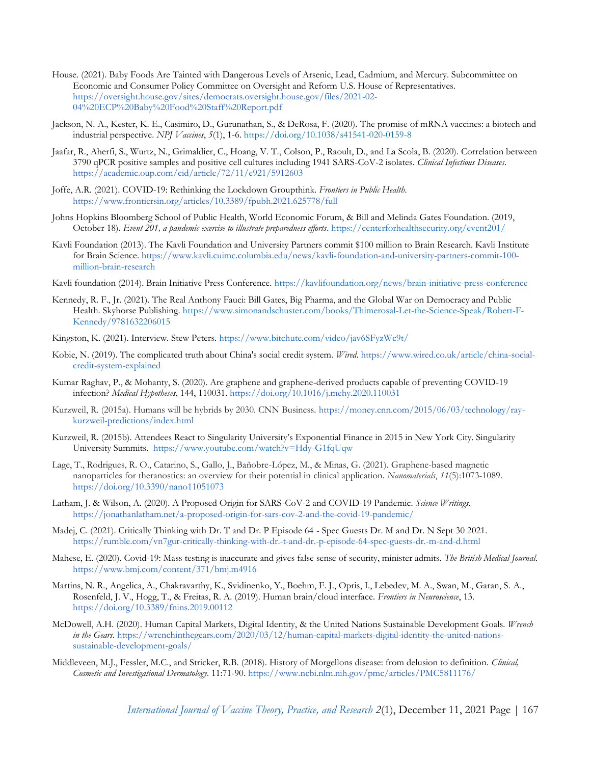- House. (2021). Baby Foods Are Tainted with Dangerous Levels of Arsenic, Lead, Cadmium, and Mercury. Subcommittee on Economic and Consumer Policy Committee on Oversight and Reform U.S. House of Representatives[.](https://oversight.house.gov/sites/democrats.oversight.house.gov/files/2021-02-04%20ECP%20Baby%20Food%20Staff%20Report.pdf) [https://oversight.house.gov/sites/democrats.oversight.house.gov/files/2021-02-](https://oversight.house.gov/sites/democrats.oversight.house.gov/files/2021-02-04%20ECP%20Baby%20Food%20Staff%20Report.pdf) [04%20ECP%20Baby%20Food%20Staff%20Report.pdf](https://oversight.house.gov/sites/democrats.oversight.house.gov/files/2021-02-04%20ECP%20Baby%20Food%20Staff%20Report.pdf)
- Jackson, N. A., Kester, K. E., Casimiro, D., Gurunathan, S., & DeRosa, F. (2020). The promise of mRNA vaccines: a biotech and industrial perspective. *NPJ Vaccines*, *5*(1), 1-6. <https://doi.org/10.1038/s41541-020-0159-8>
- Jaafar, R., Aherfi, S., Wurtz, N., Grimaldier, C., Hoang, V. T., Colson, P., Raoult, D., and La Scola, B. (2020). Correlation between 3790 qPCR positive samples and positive cell cultures including 1941 SARS-CoV-2 isolates. *Clinical Infectious Diseases*[.](https://academic.oup.com/cid/article/72/11/e921/5912603) <https://academic.oup.com/cid/article/72/11/e921/5912603>
- Joffe, A.R. (2021). COVID-19: Rethinking the Lockdown Groupthink. *Frontiers in Public Health*[.](https://www.frontiersin.org/articles/10.3389/fpubh.2021.625778/full) <https://www.frontiersin.org/articles/10.3389/fpubh.2021.625778/full>
- Johns Hopkins Bloomberg School of Public Health, World Economic Forum, & Bill and Melinda Gates Foundation. (2019, October 18). *Event 201, a pandemic exercise to illustrate preparedness efforts*.<https://centerforhealthsecurity.org/event201/>
- Kavli Foundation (2013). The Kavli Foundation and University Partners commit \$100 million to Brain Research. Kavli Institute for Brain Science. [https://www.kavli.cuimc.columbia.edu/news/kavli-foundation-and-university-partners-commit-100](https://www.kavli.cuimc.columbia.edu/news/kavli-foundation-and-university-partners-commit-100-million-brain-research) [million-brain-research](https://www.kavli.cuimc.columbia.edu/news/kavli-foundation-and-university-partners-commit-100-million-brain-research)
- Kavli foundation (2014). Brain Initiative Press Conference.<https://kavlifoundation.org/news/brain-initiative-press-conference>
- Kennedy, R. F., Jr. (2021). The Real Anthony Fauci: Bill Gates, Big Pharma, and the Global War on Democracy and Public Health. Skyhorse Publishing. [https://www.simonandschuster.com/books/Thimerosal-Let-the-Science-Speak/Robert-F-](https://www.simonandschuster.com/books/Thimerosal-Let-the-Science-Speak/Robert-F-Kennedy/9781632206015)[Kennedy/9781632206015](https://www.simonandschuster.com/books/Thimerosal-Let-the-Science-Speak/Robert-F-Kennedy/9781632206015)
- Kingston, K. (2021). Interview. Stew Peters. <https://www.bitchute.com/video/jav6SFyzWc9t/>
- Kobie, N. (2019). The complicated truth about China's social credit system. *Wired*. [https://www.wired.co.uk/article/china-social](https://www.wired.co.uk/article/china-social-credit-system-explained)[credit-system-explained](https://www.wired.co.uk/article/china-social-credit-system-explained)
- Kumar Raghav, P., & Mohanty, S. (2020). Are graphene and graphene-derived products capable of preventing COVID-19 infection? *Medical Hypotheses*, 144, 110031. <https://doi.org/10.1016/j.mehy.2020.110031>
- Kurzweil, R. (2015a). Humans will be hybrids by 2030. CNN Business. [https://money.cnn.com/2015/06/03/technology/ray](https://money.cnn.com/2015/06/03/technology/ray-kurzweil-predictions/index.html)[kurzweil-predictions/index.html](https://money.cnn.com/2015/06/03/technology/ray-kurzweil-predictions/index.html)
- Kurzweil, R. (2015b). Attendees React to Singularity University's Exponential Finance in 2015 in New York City. Singularity University Summits. <https://www.youtube.com/watch?v=Hdy-G1fqUqw>
- Lage, T., Rodrigues, R. O., Catarino, S., Gallo, J., Bañobre-López, M., & Minas, G. (2021). Graphene-based magnetic nanoparticles for theranostics: an overview for their potential in clinical application. *Nanomaterials*, *11*(5):1073-108[9.](https://doi.org/10.3390/nano11051073) <https://doi.org/10.3390/nano11051073>
- Latham, J. & Wilson, A. (2020). A Proposed Origin for SARS-CoV-2 and COVID-19 Pandemic. *Science Writings*[.](https://jonathanlatham.net/a-proposed-origin-for-sars-cov-2-and-the-covid-19-pandemic/) <https://jonathanlatham.net/a-proposed-origin-for-sars-cov-2-and-the-covid-19-pandemic/>
- Madej, C. (2021). Critically Thinking with Dr. T and Dr. P Episode 64 Spec Guests Dr. M and Dr. N Sept 30 2021[.](https://rumble.com/vn7gur-critically-thinking-with-dr.-t-and-dr.-p-episode-64-spec-guests-dr.-m-and-d.html) <https://rumble.com/vn7gur-critically-thinking-with-dr.-t-and-dr.-p-episode-64-spec-guests-dr.-m-and-d.html>
- Mahese, E. (2020). Covid-19: Mass testing is inaccurate and gives false sense of security, minister admits. *The British Medical Journal*[.](https://www.bmj.com/content/371/bmj.m4916) <https://www.bmj.com/content/371/bmj.m4916>
- Martins, N. R., Angelica, A., Chakravarthy, K., Svidinenko, Y., Boehm, F. J., Opris, I., Lebedev, M. A., Swan, M., Garan, S. A., Rosenfeld, J. V., Hogg, T., & Freitas, R. A. (2019). Human brain/cloud interface. *Frontiers in Neuroscience*, 1[3.](https://doi.org/10.3389/fnins.2019.00112) <https://doi.org/10.3389/fnins.2019.00112>
- McDowell, A.H. (2020). Human Capital Markets, Digital Identity, & the United Nations Sustainable Development Goals. *Wrench in the Gears*. [https://wrenchinthegears.com/2020/03/12/human-capital-markets-digital-identity-the-united-nations](https://wrenchinthegears.com/2020/03/12/human-capital-markets-digital-identity-the-united-nations-sustainable-development-goals/)[sustainable-development-goals/](https://wrenchinthegears.com/2020/03/12/human-capital-markets-digital-identity-the-united-nations-sustainable-development-goals/)
- Middleveen, M.J., Fessler, M.C., and Stricker, R.B. (2018). History of Morgellons disease: from delusion to definition. *Clinical, Cosmetic and Investigational Dermatology*. 11:71-90. <https://www.ncbi.nlm.nih.gov/pmc/articles/PMC5811176/>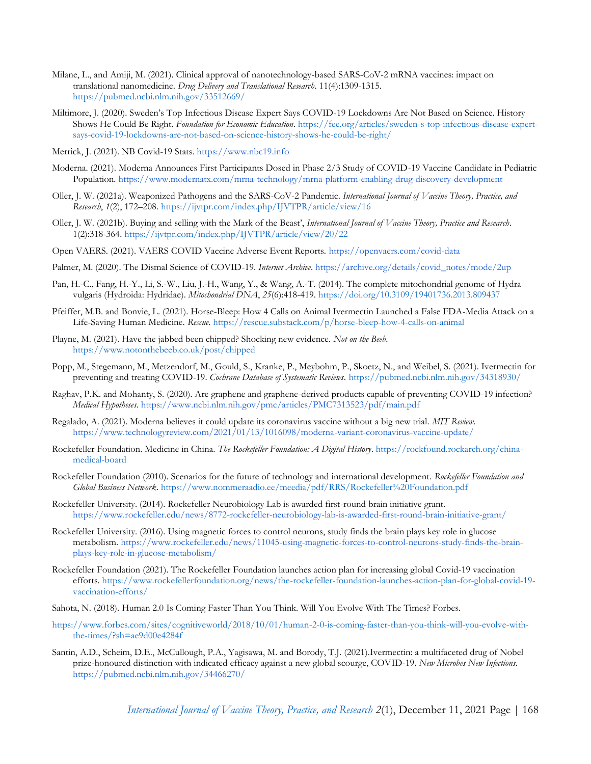- Milane, L., and Amiji, M. (2021). Clinical approval of nanotechnology-based SARS-CoV-2 mRNA vaccines: impact on translational nanomedicine. *Drug Delivery and Translational Research*. 11(4):1309-1315. <https://pubmed.ncbi.nlm.nih.gov/33512669/>
- Miltimore, J. (2020). Sweden's Top Infectious Disease Expert Says COVID-19 Lockdowns Are Not Based on Science. History Shows He Could Be Right. *Foundation for Economic Education*. [https://fee.org/articles/sweden-s-top-infectious-disease-expert](https://fee.org/articles/sweden-s-top-infectious-disease-expert-says-covid-19-lockdowns-are-not-based-on-science-history-shows-he-could-be-right/)[says-covid-19-lockdowns-are-not-based-on-science-history-shows-he-could-be-right/](https://fee.org/articles/sweden-s-top-infectious-disease-expert-says-covid-19-lockdowns-are-not-based-on-science-history-shows-he-could-be-right/)
- Merrick, J. (2021). NB Covid-19 Stats. [https://www.nbc19.info](https://www.nbc19.info/)
- Moderna. (2021). Moderna Announces First Participants Dosed in Phase 2/3 Study of COVID-19 Vaccine Candidate in Pediatric Population. <https://www.modernatx.com/mrna-technology/mrna-platform-enabling-drug-discovery-development>
- Oller, J. W. (2021a). Weaponized Pathogens and the SARS-CoV-2 Pandemic. *International Journal of Vaccine Theory, Practice, and Research*, *1*(2), 172–208.<https://ijvtpr.com/index.php/IJVTPR/article/view/16>
- Oller, J. W. (2021b). Buying and selling with the Mark of the Beast', *International Journal of Vaccine Theory, Practice and Research*. 1(2):318-364. <https://ijvtpr.com/index.php/IJVTPR/article/view/20/22>
- Open VAERS. (2021). VAERS COVID Vaccine Adverse Event Reports. <https://openvaers.com/covid-data>
- Palmer, M. (2020). The Dismal Science of COVID-19. *Internet Archive*. [https://archive.org/details/covid\\_notes/mode/2up](https://archive.org/details/covid_notes/mode/2up)
- Pan, H.-C., Fang, H.-Y., Li, S.-W., Liu, J.-H., Wang, Y., & Wang, A.-T. (2014). The complete mitochondrial genome of Hydra vulgaris (Hydroida: Hydridae). *Mitochondrial DNA*, *25*(6):418-419.<https://doi.org/10.3109/19401736.2013.809437>
- Pfeiffer, M.B. and Bonvie, L. (2021). Horse-Bleep: How 4 Calls on Animal Ivermectin Launched a False FDA-Media Attack on a Life-Saving Human Medicine. *Rescue*. <https://rescue.substack.com/p/horse-bleep-how-4-calls-on-animal>
- Playne, M. (2021). Have the jabbed been chipped? Shocking new evidence. *Not on the Beeb*. <https://www.notonthebeeb.co.uk/post/chipped>
- Popp, M., Stegemann, M., Metzendorf, M., Gould, S., Kranke, P., Meybohm, P., Skoetz, N., and Weibel, S. (2021). Ivermectin for preventing and treating COVID-19. *Cochrane Database of Systematic Reviews*. <https://pubmed.ncbi.nlm.nih.gov/34318930/>
- Raghav, P.K. and Mohanty, S. (2020). Are graphene and graphene-derived products capable of preventing COVID-19 infection? *Medical Hypotheses*. <https://www.ncbi.nlm.nih.gov/pmc/articles/PMC7313523/pdf/main.pdf>
- Regalado, A. (2021). Moderna believes it could update its coronavirus vaccine without a big new trial. *MIT Review*[.](https://www.technologyreview.com/2021/01/13/1016098/moderna-variant-coronavirus-vaccine-update/) <https://www.technologyreview.com/2021/01/13/1016098/moderna-variant-coronavirus-vaccine-update/>
- Rockefeller Foundation. Medicine in China. *The Rockefeller Foundation: A Digital History*. [https://rockfound.rockarch.org/china](https://rockfound.rockarch.org/china-medical-board)[medical-board](https://rockfound.rockarch.org/china-medical-board)
- Rockefeller Foundation (2010). Scenarios for the future of technology and international development. *Rockefeller Foundation and Global Business Network*. <https://www.nommeraadio.ee/meedia/pdf/RRS/Rockefeller%20Foundation.pdf>
- Rockefeller University. (2014). Rockefeller Neurobiology Lab is awarded first-round brain initiative gran[t.](https://www.rockefeller.edu/news/8772-rockefeller-neurobiology-lab-is-awarded-first-round-brain-initiative-grant/) <https://www.rockefeller.edu/news/8772-rockefeller-neurobiology-lab-is-awarded-first-round-brain-initiative-grant/>
- Rockefeller University. (2016). Using magnetic forces to control neurons, study finds the brain plays key role in glucose metabolism. [https://www.rockefeller.edu/news/11045-using-magnetic-forces-to-control-neurons-study-finds-the-brain](https://www.rockefeller.edu/news/11045-using-magnetic-forces-to-control-neurons-study-finds-the-brain-plays-key-role-in-glucose-metabolism/)[plays-key-role-in-glucose-metabolism/](https://www.rockefeller.edu/news/11045-using-magnetic-forces-to-control-neurons-study-finds-the-brain-plays-key-role-in-glucose-metabolism/)
- Rockefeller Foundation (2021). The Rockefeller Foundation launches action plan for increasing global Covid-19 vaccination efforts. [https://www.rockefellerfoundation.org/news/the-rockefeller-foundation-launches-action-plan-for-global-covid-19](https://www.rockefellerfoundation.org/news/the-rockefeller-foundation-launches-action-plan-for-global-covid-19-vaccination-efforts/) [vaccination-efforts/](https://www.rockefellerfoundation.org/news/the-rockefeller-foundation-launches-action-plan-for-global-covid-19-vaccination-efforts/)
- Sahota, N. (2018). Human 2.0 Is Coming Faster Than You Think. Will You Evolve With The Times? Forbes.
- [https://www.forbes.com/sites/cognitiveworld/2018/10/01/human-2-0-is-coming-faster-than-you-think-will-you-evolve-with](https://www.forbes.com/sites/cognitiveworld/2018/10/01/human-2-0-is-coming-faster-than-you-think-will-you-evolve-with-the-times/?sh=ae9d00e4284f)[the-times/?sh=ae9d00e4284f](https://www.forbes.com/sites/cognitiveworld/2018/10/01/human-2-0-is-coming-faster-than-you-think-will-you-evolve-with-the-times/?sh=ae9d00e4284f)
- Santin, A.D., Scheim, D.E., McCullough, P.A., Yagisawa, M. and Borody, T.J. (2021).Ivermectin: a multifaceted drug of Nobel prize-honoured distinction with indicated efficacy against a new global scourge, COVID-19. *New Microbes New Infections*[.](https://pubmed.ncbi.nlm.nih.gov/34466270/) <https://pubmed.ncbi.nlm.nih.gov/34466270/>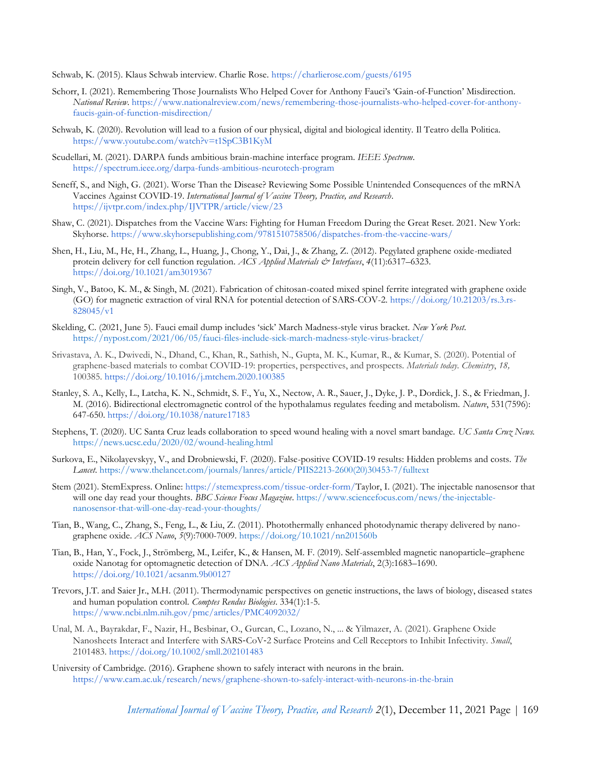Schwab, K. (2015). Klaus Schwab interview. Charlie Rose. <https://charlierose.com/guests/6195>

- Schorr, I. (2021). Remembering Those Journalists Who Helped Cover for Anthony Fauci's 'Gain-of-Function' Misdirection. *National Review*. [https://www.nationalreview.com/news/remembering-those-journalists-who-helped-cover-for-anthony](https://www.nationalreview.com/news/remembering-those-journalists-who-helped-cover-for-anthony-faucis-gain-of-function-misdirection/)[faucis-gain-of-function-misdirection/](https://www.nationalreview.com/news/remembering-those-journalists-who-helped-cover-for-anthony-faucis-gain-of-function-misdirection/)
- Schwab, K. (2020). Revolution will lead to a fusion of our physical, digital and biological identity. Il Teatro della Politica[.](https://www.youtube.com/watch?v=t1SpC3B1KyM) <https://www.youtube.com/watch?v=t1SpC3B1KyM>
- Scudellari, M. (2021). DARPA funds ambitious brain-machine interface program. *IEEE Spectrum*. <https://spectrum.ieee.org/darpa-funds-ambitious-neurotech-program>
- Seneff, S., and Nigh, G. (2021). Worse Than the Disease? Reviewing Some Possible Unintended Consequences of the mRNA Vaccines Against COVID-19. *International Journal of Vaccine Theory, Practice, and Research*[.](https://ijvtpr.com/index.php/IJVTPR/article/view/23) <https://ijvtpr.com/index.php/IJVTPR/article/view/23>
- Shaw, C. (2021). Dispatches from the Vaccine Wars: Fighting for Human Freedom During the Great Reset. 2021. New York: Skyhorse.<https://www.skyhorsepublishing.com/9781510758506/dispatches-from-the-vaccine-wars/>
- Shen, H., Liu, M., He, H., Zhang, L., Huang, J., Chong, Y., Dai, J., & Zhang, Z. (2012). Pegylated graphene oxide-mediated protein delivery for cell function regulation. *ACS Applied Materials & Interfaces*, *4*(11):6317–632[3.](https://doi.org/10.1021/am3019367) <https://doi.org/10.1021/am3019367>
- Singh, V., Batoo, K. M., & Singh, M. (2021). Fabrication of chitosan-coated mixed spinel ferrite integrated with graphene oxide (GO) for magnetic extraction of viral RNA for potential detection of SARS-COV-2. [https://doi.org/10.21203/rs.3.rs-](https://doi.org/10.21203/rs.3.rs-828045/v1) $828045/v1$
- Skelding, C. (2021, June 5). Fauci email dump includes 'sick' March Madness-style virus bracket. *New York Post*. <https://nypost.com/2021/06/05/fauci-files-include-sick-march-madness-style-virus-bracket/>
- Srivastava, A. K., Dwivedi, N., Dhand, C., Khan, R., Sathish, N., Gupta, M. K., Kumar, R., & Kumar, S. (2020). Potential of graphene-based materials to combat COVID-19: properties, perspectives, and prospects. *Materials today. Chemistry*, *18,* 100385. <https://doi.org/10.1016/j.mtchem.2020.100385>
- Stanley, S. A., Kelly, L., Latcha, K. N., Schmidt, S. F., Yu, X., Nectow, A. R., Sauer, J., Dyke, J. P., Dordick, J. S., & Friedman, J. M. (2016). Bidirectional electromagnetic control of the hypothalamus regulates feeding and metabolism. *Nature*, 531(7596): 647-650. <https://doi.org/10.1038/nature17183>
- Stephens, T. (2020). UC Santa Cruz leads collaboration to speed wound healing with a novel smart bandage. *UC Santa Cruz New[s.](https://news.ucsc.edu/2020/02/wound-healing.html)* <https://news.ucsc.edu/2020/02/wound-healing.html>
- Surkova, E., Nikolayevskyy, V., and Drobniewski, F. (2020). False-positive COVID-19 results: Hidden problems and costs. *The Lancet*. [https://www.thelancet.com/journals/lanres/article/PIIS2213-2600\(20\)30453-7/fulltext](https://www.thelancet.com/journals/lanres/article/PIIS2213-2600(20)30453-7/fulltext)
- Stem (2021). StemExpress. Online: [https://stemexpress.com/tissue-order-form/T](https://stemexpress.com/tissue-order-form)aylor, I. (2021). The injectable nanosensor that will one day read your thoughts. *BBC Science Focus Magazine*. [https://www.sciencefocus.com/news/the-injectable](https://www.sciencefocus.com/news/the-injectable-nanosensor-that-will-one-day-read-your-thoughts/)[nanosensor-that-will-one-day-read-your-thoughts/](https://www.sciencefocus.com/news/the-injectable-nanosensor-that-will-one-day-read-your-thoughts/)
- Tian, B., Wang, C., Zhang, S., Feng, L., & Liu, Z. (2011). Photothermally enhanced photodynamic therapy delivered by nanographene oxide. *ACS Nano*, *5*(9):7000-7009. <https://doi.org/10.1021/nn201560b>
- Tian, B., Han, Y., Fock, J., Strömberg, M., Leifer, K., & Hansen, M. F. (2019). Self-assembled magnetic nanoparticle–graphene oxide Nanotag for optomagnetic detection of DNA. *ACS Applied Nano Materials*, 2(3):1683–1690[.](https://doi.org/10.1021/acsanm.9b00127) <https://doi.org/10.1021/acsanm.9b00127>
- Trevors, J.T. and Saier Jr., M.H. (2011). Thermodynamic perspectives on genetic instructions, the laws of biology, diseased states and human population control. *Comptes Rendus Biologies*. 334(1):1-[5.](https://www.ncbi.nlm.nih.gov/pmc/articles/PMC4092032/) <https://www.ncbi.nlm.nih.gov/pmc/articles/PMC4092032/>
- Unal, M. A., Bayrakdar, F., Nazir, H., Besbinar, O., Gurcan, C., Lozano, N., ... & Yilmazer, A. (2021). Graphene Oxide Nanosheets Interact and Interfere with SARS‐CoV‐2 Surface Proteins and Cell Receptors to Inhibit Infectivity. *Small*, 2101483.<https://doi.org/10.1002/smll.202101483>
- University of Cambridge. (2016). Graphene shown to safely interact with neurons in the brain[.](https://www.cam.ac.uk/research/news/graphene-shown-to-safely-interact-with-neurons-in-the-brain) <https://www.cam.ac.uk/research/news/graphene-shown-to-safely-interact-with-neurons-in-the-brain>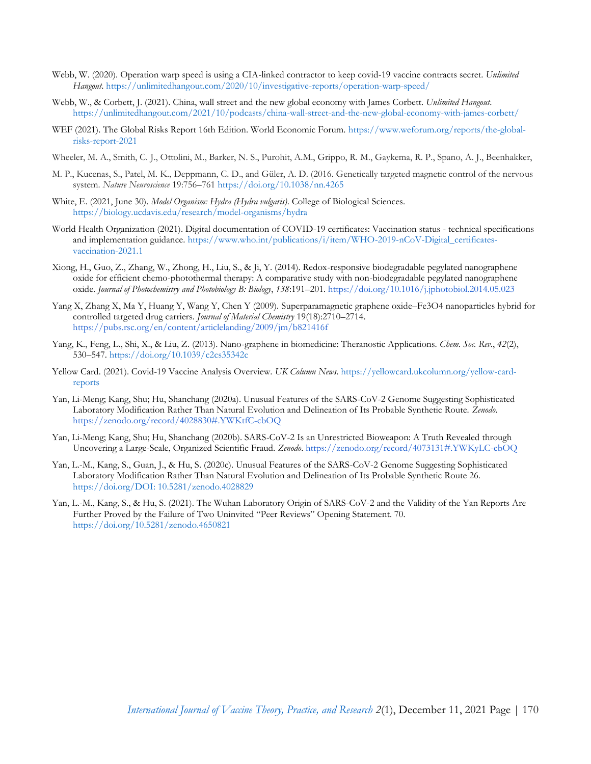- Webb, W. (2020). Operation warp speed is using a CIA-linked contractor to keep covid-19 vaccine contracts secret. *Unlimited Hangout*. <https://unlimitedhangout.com/2020/10/investigative-reports/operation-warp-speed/>
- Webb, W., & Corbett, J. (2021). China, wall street and the new global economy with James Corbett. *Unlimited Hangout*. <https://unlimitedhangout.com/2021/10/podcasts/china-wall-street-and-the-new-global-economy-with-james-corbett/>
- WEF (2021). The Global Risks Report 16th Edition. World Economic Forum. [https://www.weforum.org/reports/the-global](https://www.weforum.org/reports/the-global-risks-report-2021)[risks-report-2021](https://www.weforum.org/reports/the-global-risks-report-2021)
- Wheeler, M. A., Smith, C. J., Ottolini, M., Barker, N. S., Purohit, A.M., Grippo, R. M., Gaykema, R. P., Spano, A. J., Beenhakker,
- M. P., Kucenas, S., Patel, M. K., Deppmann, C. D., and Güler, A. D. (2016. Genetically targeted magnetic control of the nervous system. *Nature Neuroscience* 19:756–76[1 https://doi.org/10.1038/nn.4265](https://doi.org/10.1038/nn.4265)
- White, E. (2021, June 30). *Model Organism: Hydra (Hydra vulgaris)*. College of Biological Sciences. <https://biology.ucdavis.edu/research/model-organisms/hydra>
- World Health Organization (2021). Digital documentation of COVID-19 certificates: Vaccination status technical specifications and implementation guidance. [https://www.who.int/publications/i/item/WHO-2019-nCoV-Digital\\_certificates](https://www.who.int/publications/i/item/WHO-2019-nCoV-Digital_certificates-vaccination-2021.1)[vaccination-2021.1](https://www.who.int/publications/i/item/WHO-2019-nCoV-Digital_certificates-vaccination-2021.1)
- Xiong, H., Guo, Z., Zhang, W., Zhong, H., Liu, S., & Ji, Y. (2014). Redox-responsive biodegradable pegylated nanographene oxide for efficient chemo-photothermal therapy: A comparative study with non-biodegradable pegylated nanographene oxide. *Journal of Photochemistry and Photobiology B: Biology*, *138*:191–201. <https://doi.org/10.1016/j.jphotobiol.2014.05.023>
- Yang X, Zhang X, Ma Y, Huang Y, Wang Y, Chen Y (2009). Superparamagnetic graphene oxide–[Fe3O4 nanoparticles hybrid for](https://pubs.rsc.org/en/content/articlelanding/2009/jm/b821416f)  controlled targeted drug carriers. *Journal of Material Chemistry* 19(18):2710–2714. <https://pubs.rsc.org/en/content/articlelanding/2009/jm/b821416f>
- Yang, K., Feng, L., Shi, X., & Liu, Z. (2013). Nano-graphene in biomedicine: Theranostic Applications. *Chem. Soc. Rev.*, *42*(2), 530–547. <https://doi.org/10.1039/c2cs35342c>
- Yellow Card. (2021). Covid-19 Vaccine Analysis Overview. *UK Column News*. [https://yellowcard.ukcolumn.org/yellow-card](https://yellowcard.ukcolumn.org/yellow-card-reports)[reports](https://yellowcard.ukcolumn.org/yellow-card-reports)
- Yan, Li-Meng; Kang, Shu; Hu, Shanchang (2020a). Unusual Features of the SARS-CoV-2 Genome Suggesting Sophisticated Laboratory Modification Rather Than Natural Evolution and Delineation of Its Probable Synthetic Route. *Zenodo*[.](https://zenodo.org/record/4028830#.YWKtfC-cbOQ) <https://zenodo.org/record/4028830#.YWKtfC-cbOQ>
- Yan, Li-Meng; Kang, Shu; Hu, Shanchang (2020b). SARS-CoV-2 Is an Unrestricted Bioweapon: A Truth Revealed through Uncovering a Large-Scale, Organized Scientific Fraud. *Zenodo*. <https://zenodo.org/record/4073131#.YWKyLC-cbOQ>
- Yan, L.-M., Kang, S., Guan, J., & Hu, S. (2020c). Unusual Features of the SARS-CoV-2 Genome Suggesting Sophisticated Laboratory Modification Rather Than Natural Evolution and Delineation of Its Probable Synthetic Route 26. [https://doi.org/DOI: 10.5281/zenodo.4028829](https://doi.org/DOI:%2010.5281/zenodo.4028829)
- Yan, L.-M., Kang, S., & Hu, S. (2021). The Wuhan Laboratory Origin of SARS-CoV-2 and the Validity of the Yan Reports Are Further Proved by the Failure of Two Uninvited "Peer Reviews" Opening Statement. 70. <https://doi.org/10.5281/zenodo.4650821>